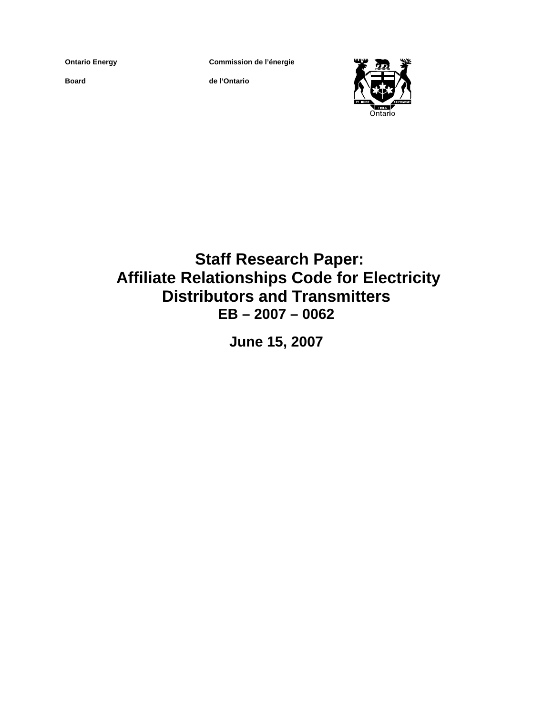**Ontario Energy** 

**Board**

**Commission de l'énergie**

**de l'Ontario**



 **Staff Research Paper: Affiliate Relationships Code for Electricity Distributors and Transmitters EB – 2007 – 0062** 

**June 15, 2007**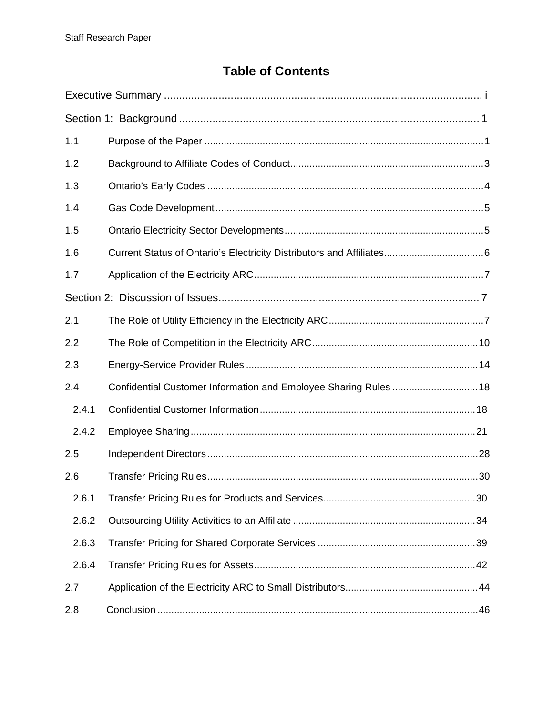# **Table of Contents**

| 1.1   |                                                                  |  |
|-------|------------------------------------------------------------------|--|
| 1.2   |                                                                  |  |
| 1.3   |                                                                  |  |
| 1.4   |                                                                  |  |
| 1.5   |                                                                  |  |
| 1.6   |                                                                  |  |
| 1.7   |                                                                  |  |
|       |                                                                  |  |
| 2.1   |                                                                  |  |
| 2.2   |                                                                  |  |
| 2.3   |                                                                  |  |
| 2.4   | Confidential Customer Information and Employee Sharing Rules  18 |  |
| 2.4.1 |                                                                  |  |
| 2.4.2 |                                                                  |  |
| 2.5   |                                                                  |  |
| 2.6   |                                                                  |  |
| 2.6.1 |                                                                  |  |
| 2.6.2 |                                                                  |  |
| 2.6.3 |                                                                  |  |
| 2.6.4 |                                                                  |  |
| 2.7   |                                                                  |  |
| 2.8   |                                                                  |  |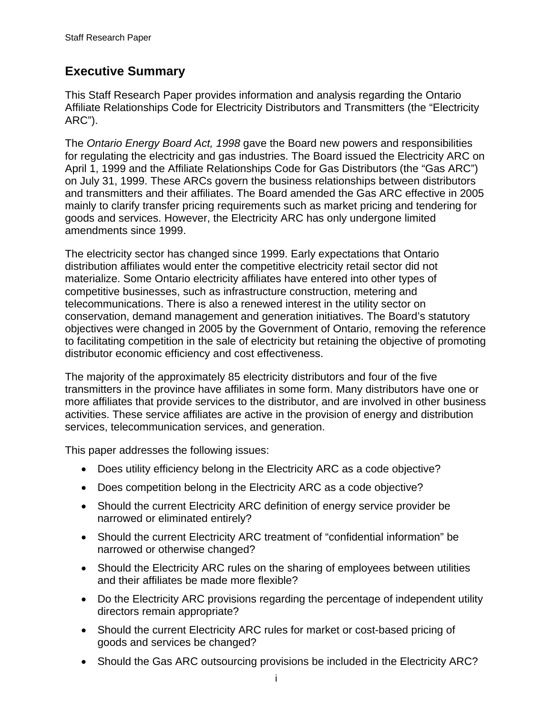# <span id="page-2-0"></span>**Executive Summary**

This Staff Research Paper provides information and analysis regarding the Ontario Affiliate Relationships Code for Electricity Distributors and Transmitters (the "Electricity ARC").

The *Ontario Energy Board Act, 1998* gave the Board new powers and responsibilities for regulating the electricity and gas industries. The Board issued the Electricity ARC on April 1, 1999 and the Affiliate Relationships Code for Gas Distributors (the "Gas ARC") on July 31, 1999. These ARCs govern the business relationships between distributors and transmitters and their affiliates. The Board amended the Gas ARC effective in 2005 mainly to clarify transfer pricing requirements such as market pricing and tendering for goods and services. However, the Electricity ARC has only undergone limited amendments since 1999.

The electricity sector has changed since 1999. Early expectations that Ontario distribution affiliates would enter the competitive electricity retail sector did not materialize. Some Ontario electricity affiliates have entered into other types of competitive businesses, such as infrastructure construction, metering and telecommunications. There is also a renewed interest in the utility sector on conservation, demand management and generation initiatives. The Board's statutory objectives were changed in 2005 by the Government of Ontario, removing the reference to facilitating competition in the sale of electricity but retaining the objective of promoting distributor economic efficiency and cost effectiveness.

The majority of the approximately 85 electricity distributors and four of the five transmitters in the province have affiliates in some form. Many distributors have one or more affiliates that provide services to the distributor, and are involved in other business activities. These service affiliates are active in the provision of energy and distribution services, telecommunication services, and generation.

This paper addresses the following issues:

- Does utility efficiency belong in the Electricity ARC as a code objective?
- Does competition belong in the Electricity ARC as a code objective?
- Should the current Electricity ARC definition of energy service provider be narrowed or eliminated entirely?
- Should the current Electricity ARC treatment of "confidential information" be narrowed or otherwise changed?
- Should the Electricity ARC rules on the sharing of employees between utilities and their affiliates be made more flexible?
- Do the Electricity ARC provisions regarding the percentage of independent utility directors remain appropriate?
- Should the current Electricity ARC rules for market or cost-based pricing of goods and services be changed?
- Should the Gas ARC outsourcing provisions be included in the Electricity ARC?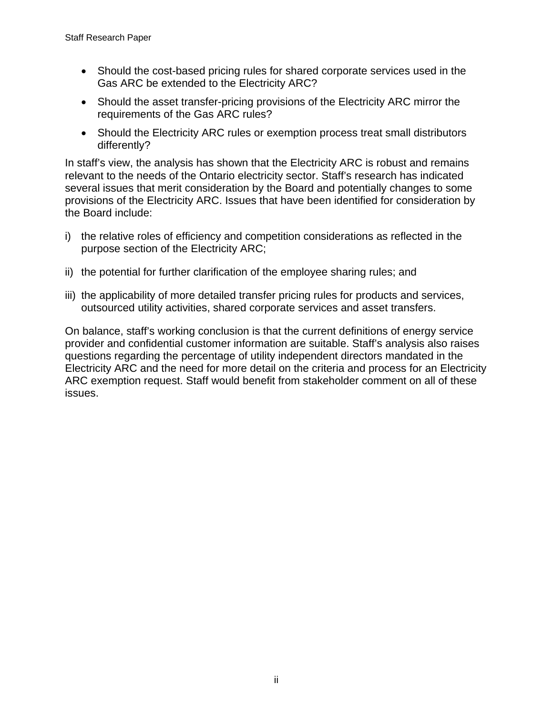- Should the cost-based pricing rules for shared corporate services used in the Gas ARC be extended to the Electricity ARC?
- Should the asset transfer-pricing provisions of the Electricity ARC mirror the requirements of the Gas ARC rules?
- Should the Electricity ARC rules or exemption process treat small distributors differently?

In staff's view, the analysis has shown that the Electricity ARC is robust and remains relevant to the needs of the Ontario electricity sector. Staff's research has indicated several issues that merit consideration by the Board and potentially changes to some provisions of the Electricity ARC. Issues that have been identified for consideration by the Board include:

- i) the relative roles of efficiency and competition considerations as reflected in the purpose section of the Electricity ARC;
- ii) the potential for further clarification of the employee sharing rules; and
- iii) the applicability of more detailed transfer pricing rules for products and services, outsourced utility activities, shared corporate services and asset transfers.

On balance, staff's working conclusion is that the current definitions of energy service provider and confidential customer information are suitable. Staff's analysis also raises questions regarding the percentage of utility independent directors mandated in the Electricity ARC and the need for more detail on the criteria and process for an Electricity ARC exemption request. Staff would benefit from stakeholder comment on all of these issues.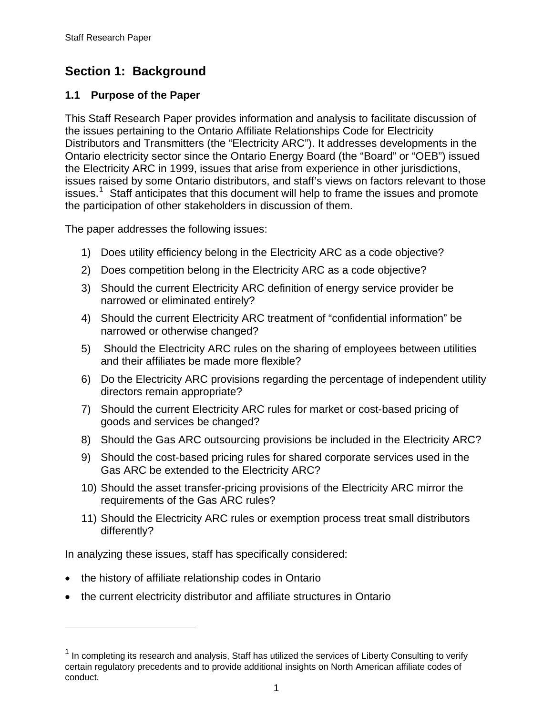# <span id="page-4-0"></span>**Section 1: Background**

### **1.1 Purpose of the Paper**

This Staff Research Paper provides information and analysis to facilitate discussion of the issues pertaining to the Ontario Affiliate Relationships Code for Electricity Distributors and Transmitters (the "Electricity ARC"). It addresses developments in the Ontario electricity sector since the Ontario Energy Board (the "Board" or "OEB") issued the Electricity ARC in 1999, issues that arise from experience in other jurisdictions, issues raised by some Ontario distributors, and staff's views on factors relevant to those issues.<sup>[1](#page-4-1)</sup> Staff anticipates that this document will help to frame the issues and promote the participation of other stakeholders in discussion of them.

The paper addresses the following issues:

- 1) Does utility efficiency belong in the Electricity ARC as a code objective?
- 2) Does competition belong in the Electricity ARC as a code objective?
- 3) Should the current Electricity ARC definition of energy service provider be narrowed or eliminated entirely?
- 4) Should the current Electricity ARC treatment of "confidential information" be narrowed or otherwise changed?
- 5) Should the Electricity ARC rules on the sharing of employees between utilities and their affiliates be made more flexible?
- 6) Do the Electricity ARC provisions regarding the percentage of independent utility directors remain appropriate?
- 7) Should the current Electricity ARC rules for market or cost-based pricing of goods and services be changed?
- 8) Should the Gas ARC outsourcing provisions be included in the Electricity ARC?
- 9) Should the cost-based pricing rules for shared corporate services used in the Gas ARC be extended to the Electricity ARC?
- 10) Should the asset transfer-pricing provisions of the Electricity ARC mirror the requirements of the Gas ARC rules?
- 11) Should the Electricity ARC rules or exemption process treat small distributors differently?

In analyzing these issues, staff has specifically considered:

• the history of affiliate relationship codes in Ontario

 $\overline{a}$ 

• the current electricity distributor and affiliate structures in Ontario

<span id="page-4-1"></span> $1$  In completing its research and analysis, Staff has utilized the services of Liberty Consulting to verify certain regulatory precedents and to provide additional insights on North American affiliate codes of conduct.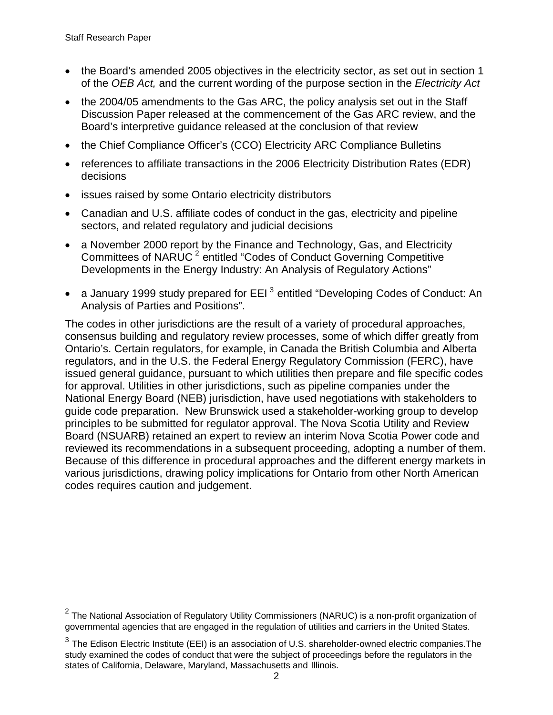$\overline{a}$ 

- the Board's amended 2005 objectives in the electricity sector, as set out in section 1 of the *OEB Act,* and the current wording of the purpose section in the *Electricity Act*
- the 2004/05 amendments to the Gas ARC, the policy analysis set out in the Staff Discussion Paper released at the commencement of the Gas ARC review, and the Board's interpretive guidance released at the conclusion of that review
- the Chief Compliance Officer's (CCO) Electricity ARC Compliance Bulletins
- references to affiliate transactions in the 2006 Electricity Distribution Rates (EDR) decisions
- issues raised by some Ontario electricity distributors
- Canadian and U.S. affiliate codes of conduct in the gas, electricity and pipeline sectors, and related regulatory and judicial decisions
- a November 2000 report by the Finance and Technology, Gas, and Electricity Committees of NARUC<sup>[2](#page-5-0)</sup> entitled "Codes of Conduct Governing Competitive Developments in the Energy Industry: An Analysis of Regulatory Actions"
- a January 1999 study prepared for EEI<sup>[3](#page-5-1)</sup> entitled "Developing Codes of Conduct: An Analysis of Parties and Positions".

The codes in other jurisdictions are the result of a variety of procedural approaches, consensus building and regulatory review processes, some of which differ greatly from Ontario's. Certain regulators, for example, in Canada the British Columbia and Alberta regulators, and in the U.S. the Federal Energy Regulatory Commission (FERC), have issued general guidance, pursuant to which utilities then prepare and file specific codes for approval. Utilities in other jurisdictions, such as pipeline companies under the National Energy Board (NEB) jurisdiction, have used negotiations with stakeholders to guide code preparation. New Brunswick used a stakeholder-working group to develop principles to be submitted for regulator approval. The Nova Scotia Utility and Review Board (NSUARB) retained an expert to review an interim Nova Scotia Power code and reviewed its recommendations in a subsequent proceeding, adopting a number of them. Because of this difference in procedural approaches and the different energy markets in various jurisdictions, drawing policy implications for Ontario from other North American codes requires caution and judgement.

<span id="page-5-0"></span> $^{\text{2}}$  The National Association of Regulatory Utility Commissioners (NARUC) is a non-profit organization of governmental agencies that are engaged in the regulation of utilities and carriers in the United States.

<span id="page-5-1"></span> $^3$  The Edison Electric Institute (EEI) is an association of U.S. shareholder-owned electric companies.The study examined the codes of conduct that were the subject of proceedings before the regulators in the states of California, Delaware, Maryland, Massachusetts and Illinois.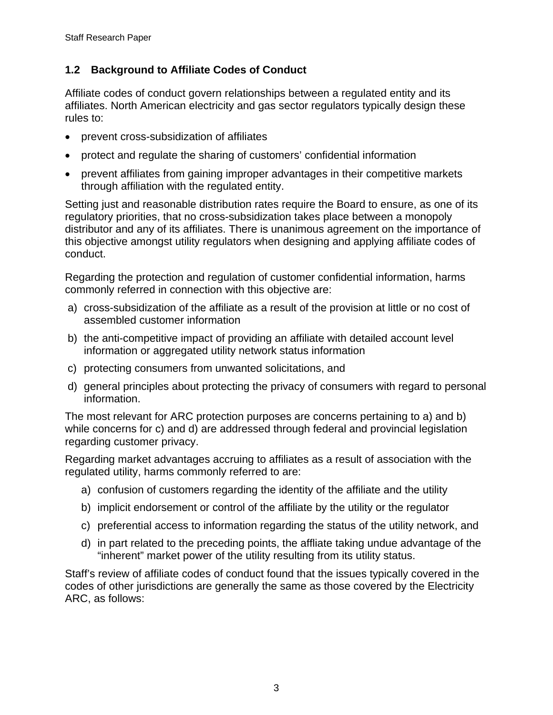# <span id="page-6-0"></span>**1.2 Background to Affiliate Codes of Conduct**

Affiliate codes of conduct govern relationships between a regulated entity and its affiliates. North American electricity and gas sector regulators typically design these rules to:

- prevent cross-subsidization of affiliates
- protect and regulate the sharing of customers' confidential information
- prevent affiliates from gaining improper advantages in their competitive markets through affiliation with the regulated entity.

Setting just and reasonable distribution rates require the Board to ensure, as one of its regulatory priorities, that no cross-subsidization takes place between a monopoly distributor and any of its affiliates. There is unanimous agreement on the importance of this objective amongst utility regulators when designing and applying affiliate codes of conduct.

Regarding the protection and regulation of customer confidential information, harms commonly referred in connection with this objective are:

- a) cross-subsidization of the affiliate as a result of the provision at little or no cost of assembled customer information
- b) the anti-competitive impact of providing an affiliate with detailed account level information or aggregated utility network status information
- c) protecting consumers from unwanted solicitations, and
- d) general principles about protecting the privacy of consumers with regard to personal information.

The most relevant for ARC protection purposes are concerns pertaining to a) and b) while concerns for c) and d) are addressed through federal and provincial legislation regarding customer privacy.

Regarding market advantages accruing to affiliates as a result of association with the regulated utility, harms commonly referred to are:

- a) confusion of customers regarding the identity of the affiliate and the utility
- b) implicit endorsement or control of the affiliate by the utility or the regulator
- c) preferential access to information regarding the status of the utility network, and
- d) in part related to the preceding points, the affliate taking undue advantage of the "inherent" market power of the utility resulting from its utility status.

Staff's review of affiliate codes of conduct found that the issues typically covered in the codes of other jurisdictions are generally the same as those covered by the Electricity ARC, as follows: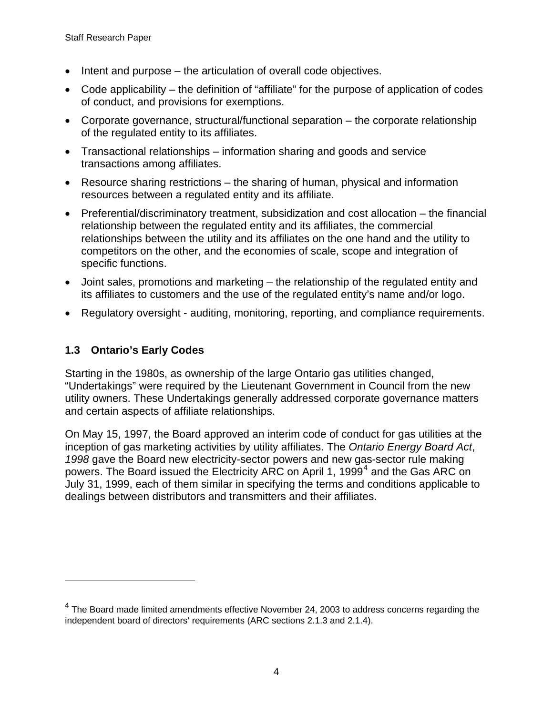- <span id="page-7-0"></span>• Intent and purpose – the articulation of overall code objectives.
- Code applicability the definition of "affiliate" for the purpose of application of codes of conduct, and provisions for exemptions.
- Corporate governance, structural/functional separation the corporate relationship of the regulated entity to its affiliates.
- Transactional relationships information sharing and goods and service transactions among affiliates.
- Resource sharing restrictions the sharing of human, physical and information resources between a regulated entity and its affiliate.
- Preferential/discriminatory treatment, subsidization and cost allocation the financial relationship between the regulated entity and its affiliates, the commercial relationships between the utility and its affiliates on the one hand and the utility to competitors on the other, and the economies of scale, scope and integration of specific functions.
- Joint sales, promotions and marketing the relationship of the regulated entity and its affiliates to customers and the use of the regulated entity's name and/or logo.
- Regulatory oversight auditing, monitoring, reporting, and compliance requirements.

### **1.3 Ontario's Early Codes**

 $\overline{a}$ 

Starting in the 1980s, as ownership of the large Ontario gas utilities changed, "Undertakings" were required by the Lieutenant Government in Council from the new utility owners. These Undertakings generally addressed corporate governance matters and certain aspects of affiliate relationships.

On May 15, 1997, the Board approved an interim code of conduct for gas utilities at the inception of gas marketing activities by utility affiliates. The *Ontario Energy Board Act*, *1998* gave the Board new electricity-sector powers and new gas-sector rule making powers. The Board issued the Electricity ARC on April 1, 1999<sup>[4](#page-7-1)</sup> and the Gas ARC on July 31, 1999, each of them similar in specifying the terms and conditions applicable to dealings between distributors and transmitters and their affiliates.

<span id="page-7-1"></span> $^4$  The Board made limited amendments effective November 24, 2003 to address concerns regarding the independent board of directors' requirements (ARC sections 2.1.3 and 2.1.4).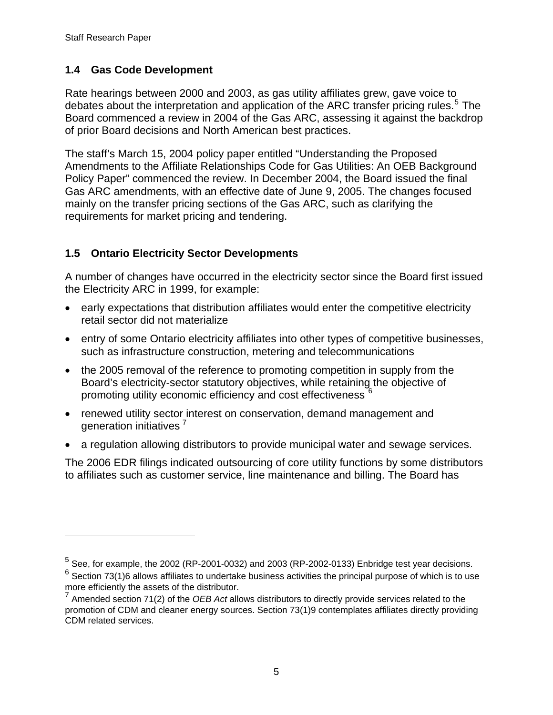$\overline{a}$ 

### <span id="page-8-0"></span>**1.4 Gas Code Development**

Rate hearings between 2000 and 2003, as gas utility affiliates grew, gave voice to debates about the interpretation and application of the ARC transfer pricing rules.<sup>[5](#page-8-1)</sup> The Board commenced a review in 2004 of the Gas ARC, assessing it against the backdrop of prior Board decisions and North American best practices.

The staff's March 15, 2004 policy paper entitled "Understanding the Proposed Amendments to the Affiliate Relationships Code for Gas Utilities: An OEB Background Policy Paper" commenced the review. In December 2004, the Board issued the final Gas ARC amendments, with an effective date of June 9, 2005. The changes focused mainly on the transfer pricing sections of the Gas ARC, such as clarifying the requirements for market pricing and tendering.

# **1.5 Ontario Electricity Sector Developments**

A number of changes have occurred in the electricity sector since the Board first issued the Electricity ARC in 1999, for example:

- early expectations that distribution affiliates would enter the competitive electricity retail sector did not materialize
- entry of some Ontario electricity affiliates into other types of competitive businesses, such as infrastructure construction, metering and telecommunications
- the 2005 removal of the reference to promoting competition in supply from the Board's electricity-sector statutory objectives, while retaining the objective of promoting utility economic efficiency and cost effectiveness  $^6$  $^6$
- renewed utility sector interest on conservation, demand management and generation initiatives<sup>[7](#page-8-3)</sup>
- a regulation allowing distributors to provide municipal water and sewage services.

The 2006 EDR filings indicated outsourcing of core utility functions by some distributors to affiliates such as customer service, line maintenance and billing. The Board has

<span id="page-8-2"></span><span id="page-8-1"></span> $^5$  See, for example, the 2002 (RP-2001-0032) and 2003 (RP-2002-0133) Enbridge test year decisions.  $^6$  Section 73(1)6 allows affiliates to undertake business activities the principal purpose of which is to use more efficiently the assets of the distributor.

<span id="page-8-3"></span><sup>7</sup> Amended section 71(2) of the *OEB Act* allows distributors to directly provide services related to the promotion of CDM and cleaner energy sources. Section 73(1)9 contemplates affiliates directly providing CDM related services.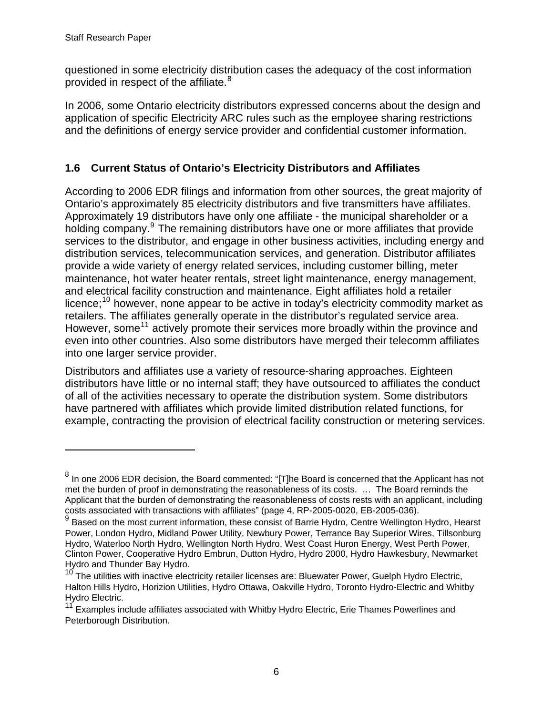$\overline{a}$ 

<span id="page-9-0"></span>questioned in some electricity distribution cases the adequacy of the cost information provided in respect of the affiliate.<sup>[8](#page-9-1)</sup>

In 2006, some Ontario electricity distributors expressed concerns about the design and application of specific Electricity ARC rules such as the employee sharing restrictions and the definitions of energy service provider and confidential customer information.

# **1.6 Current Status of Ontario's Electricity Distributors and Affiliates**

According to 2006 EDR filings and information from other sources, the great majority of Ontario's approximately 85 electricity distributors and five transmitters have affiliates. Approximately 19 distributors have only one affiliate - the municipal shareholder or a holding company.<sup>[9](#page-9-2)</sup> The remaining distributors have one or more affiliates that provide services to the distributor, and engage in other business activities, including energy and distribution services, telecommunication services, and generation. Distributor affiliates provide a wide variety of energy related services, including customer billing, meter maintenance, hot water heater rentals, street light maintenance, energy management, and electrical facility construction and maintenance. Eight affiliates hold a retailer licence;<sup>[10](#page-9-3)</sup> however, none appear to be active in today's electricity commodity market as retailers. The affiliates generally operate in the distributor's regulated service area. However, some<sup>[11](#page-9-4)</sup> actively promote their services more broadly within the province and even into other countries. Also some distributors have merged their telecomm affiliates into one larger service provider.

Distributors and affiliates use a variety of resource-sharing approaches. Eighteen distributors have little or no internal staff; they have outsourced to affiliates the conduct of all of the activities necessary to operate the distribution system. Some distributors have partnered with affiliates which provide limited distribution related functions, for example, contracting the provision of electrical facility construction or metering services.

<span id="page-9-1"></span> $^8$  In one 2006 EDR decision, the Board commented: "[T]he Board is concerned that the Applicant has not met the burden of proof in demonstrating the reasonableness of its costs. … The Board reminds the Applicant that the burden of demonstrating the reasonableness of costs rests with an applicant, including costs associated with transactions with affiliates" (page 4, RP-2005-0020, EB-2005-036).

<span id="page-9-2"></span><sup>&</sup>lt;sup>9</sup> Based on the most current information, these consist of Barrie Hydro, Centre Wellington Hydro, Hearst Power, London Hydro, Midland Power Utility, Newbury Power, Terrance Bay Superior Wires, Tillsonburg Hydro, Waterloo North Hydro, Wellington North Hydro, West Coast Huron Energy, West Perth Power, Clinton Power, Cooperative Hydro Embrun, Dutton Hydro, Hydro 2000, Hydro Hawkesbury, Newmarket Hydro and Thunder Bay Hydro.

<span id="page-9-3"></span><sup>&</sup>lt;sup>10</sup> The utilities with inactive electricity retailer licenses are: Bluewater Power, Guelph Hydro Electric, Halton Hills Hydro, Horizion Utilities, Hydro Ottawa, Oakville Hydro, Toronto Hydro-Electric and Whitby Hydro Electric.

<span id="page-9-4"></span><sup>&</sup>lt;sup>11</sup> Examples include affiliates associated with Whitby Hydro Electric, Erie Thames Powerlines and Peterborough Distribution.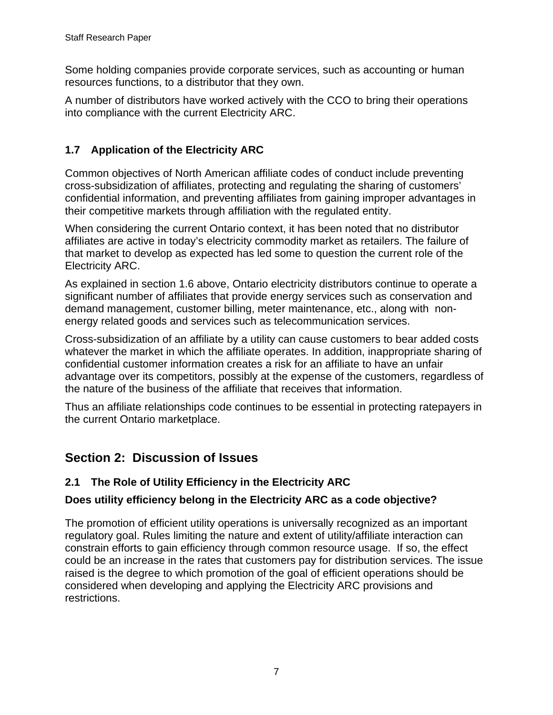<span id="page-10-0"></span>Some holding companies provide corporate services, such as accounting or human resources functions, to a distributor that they own.

A number of distributors have worked actively with the CCO to bring their operations into compliance with the current Electricity ARC.

# **1.7 Application of the Electricity ARC**

Common objectives of North American affiliate codes of conduct include preventing cross-subsidization of affiliates, protecting and regulating the sharing of customers' confidential information, and preventing affiliates from gaining improper advantages in their competitive markets through affiliation with the regulated entity.

When considering the current Ontario context, it has been noted that no distributor affiliates are active in today's electricity commodity market as retailers. The failure of that market to develop as expected has led some to question the current role of the Electricity ARC.

As explained in section 1.6 above, Ontario electricity distributors continue to operate a significant number of affiliates that provide energy services such as conservation and demand management, customer billing, meter maintenance, etc., along with nonenergy related goods and services such as telecommunication services.

Cross-subsidization of an affiliate by a utility can cause customers to bear added costs whatever the market in which the affiliate operates. In addition, inappropriate sharing of confidential customer information creates a risk for an affiliate to have an unfair advantage over its competitors, possibly at the expense of the customers, regardless of the nature of the business of the affiliate that receives that information.

Thus an affiliate relationships code continues to be essential in protecting ratepayers in the current Ontario marketplace.

# **Section 2: Discussion of Issues**

# **2.1 The Role of Utility Efficiency in the Electricity ARC**

### **Does utility efficiency belong in the Electricity ARC as a code objective?**

The promotion of efficient utility operations is universally recognized as an important regulatory goal. Rules limiting the nature and extent of utility/affiliate interaction can constrain efforts to gain efficiency through common resource usage. If so, the effect could be an increase in the rates that customers pay for distribution services. The issue raised is the degree to which promotion of the goal of efficient operations should be considered when developing and applying the Electricity ARC provisions and restrictions.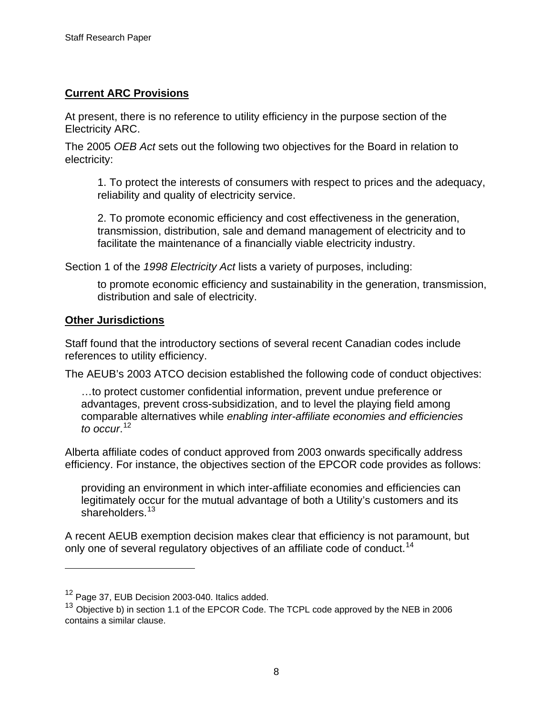### **Current ARC Provisions**

At present, there is no reference to utility efficiency in the purpose section of the Electricity ARC.

The 2005 *OEB Act* sets out the following two objectives for the Board in relation to electricity:

1. To protect the interests of consumers with respect to prices and the adequacy, reliability and quality of electricity service.

2. To promote economic efficiency and cost effectiveness in the generation, transmission, distribution, sale and demand management of electricity and to facilitate the maintenance of a financially viable electricity industry.

Section 1 of the *1998 Electricity Act* lists a variety of purposes, including:

to promote economic efficiency and sustainability in the generation, transmission, distribution and sale of electricity.

#### **Other Jurisdictions**

 $\overline{a}$ 

Staff found that the introductory sections of several recent Canadian codes include references to utility efficiency.

The AEUB's 2003 ATCO decision established the following code of conduct objectives:

…to protect customer confidential information, prevent undue preference or advantages, prevent cross-subsidization, and to level the playing field among comparable alternatives while *enabling inter-affiliate economies and efficiencies to occur*. [12](#page-11-0)

Alberta affiliate codes of conduct approved from 2003 onwards specifically address efficiency. For instance, the objectives section of the EPCOR code provides as follows:

providing an environment in which inter-affiliate economies and efficiencies can legitimately occur for the mutual advantage of both a Utility's customers and its shareholders.<sup>[13](#page-11-1)</sup>

<span id="page-11-2"></span>A recent AEUB exemption decision makes clear that efficiency is not paramount, but only one of several regulatory objectives of an affiliate code of conduct.<sup>[14](#page-11-2)</sup>

<span id="page-11-0"></span><sup>&</sup>lt;sup>12</sup> Page 37, EUB Decision 2003-040. Italics added.

<span id="page-11-1"></span><sup>&</sup>lt;sup>13</sup> Objective b) in section 1.1 of the EPCOR Code. The TCPL code approved by the NEB in 2006 contains a similar clause.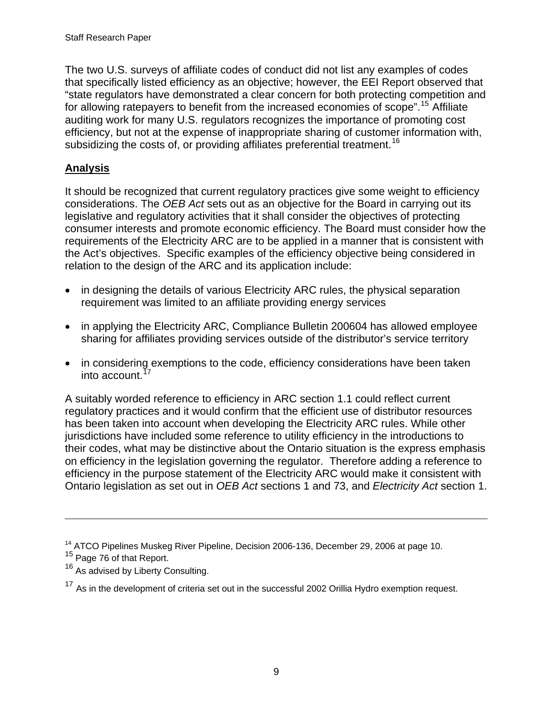The two U.S. surveys of affiliate codes of conduct did not list any examples of codes that specifically listed efficiency as an objective; however, the EEI Report observed that "state regulators have demonstrated a clear concern for both protecting competition and for allowing ratepayers to benefit from the increased economies of scope".<sup>[15](#page-12-0)</sup> Affiliate auditing work for many U.S. regulators recognizes the importance of promoting cost efficiency, but not at the expense of inappropriate sharing of customer information with, subsidizing the costs of, or providing affiliates preferential treatment.<sup>[16](#page-12-1)</sup>

### **Analysis**

It should be recognized that current regulatory practices give some weight to efficiency considerations. The *OEB Act* sets out as an objective for the Board in carrying out its legislative and regulatory activities that it shall consider the objectives of protecting consumer interests and promote economic efficiency. The Board must consider how the requirements of the Electricity ARC are to be applied in a manner that is consistent with the Act's objectives. Specific examples of the efficiency objective being considered in relation to the design of the ARC and its application include:

- in designing the details of various Electricity ARC rules, the physical separation requirement was limited to an affiliate providing energy services
- in applying the Electricity ARC, Compliance Bulletin 200604 has allowed employee sharing for affiliates providing services outside of the distributor's service territory
- in considering exemptions to the code, efficiency considerations have been taken into account. $17$

A suitably worded reference to efficiency in ARC section 1.1 could reflect current regulatory practices and it would confirm that the efficient use of distributor resources has been taken into account when developing the Electricity ARC rules. While other jurisdictions have included some reference to utility efficiency in the introductions to their codes, what may be distinctive about the Ontario situation is the express emphasis on efficiency in the legislation governing the regulator. Therefore adding a reference to efficiency in the purpose statement of the Electricity ARC would make it consistent with Ontario legislation as set out in *OEB Act* sections 1 and 73, and *Electricity Act* section 1.

 $\overline{a}$ 

<sup>&</sup>lt;sup>14</sup> ATCO Pipelines Muskeg River Pipeline, Decision 2006-136, December 29, 2006 at page 10.

<span id="page-12-0"></span><sup>&</sup>lt;sup>15</sup> Page 76 of that Report.

<span id="page-12-1"></span><sup>&</sup>lt;sup>16</sup> As advised by Liberty Consulting.

<span id="page-12-2"></span><sup>&</sup>lt;sup>17</sup> As in the development of criteria set out in the successful 2002 Orillia Hydro exemption request.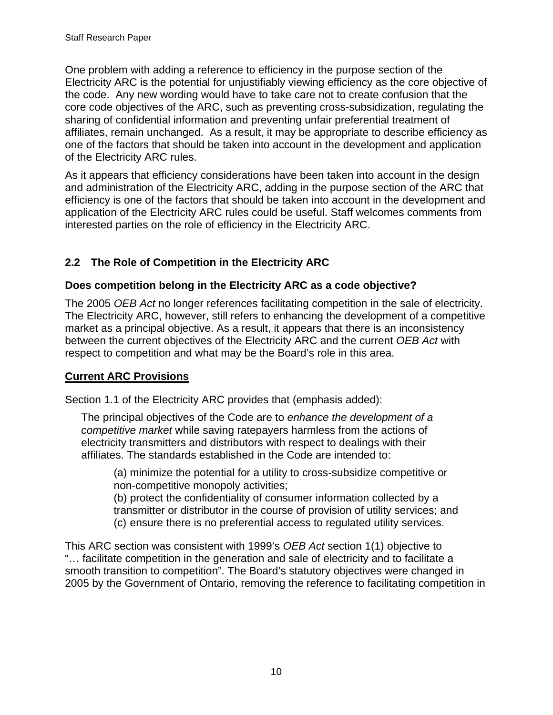<span id="page-13-0"></span>One problem with adding a reference to efficiency in the purpose section of the Electricity ARC is the potential for unjustifiably viewing efficiency as the core objective of the code. Any new wording would have to take care not to create confusion that the core code objectives of the ARC, such as preventing cross-subsidization, regulating the sharing of confidential information and preventing unfair preferential treatment of affiliates, remain unchanged. As a result, it may be appropriate to describe efficiency as one of the factors that should be taken into account in the development and application of the Electricity ARC rules.

As it appears that efficiency considerations have been taken into account in the design and administration of the Electricity ARC, adding in the purpose section of the ARC that efficiency is one of the factors that should be taken into account in the development and application of the Electricity ARC rules could be useful. Staff welcomes comments from interested parties on the role of efficiency in the Electricity ARC.

# **2.2 The Role of Competition in the Electricity ARC**

### **Does competition belong in the Electricity ARC as a code objective?**

The 2005 *OEB Act* no longer references facilitating competition in the sale of electricity. The Electricity ARC, however, still refers to enhancing the development of a competitive market as a principal objective. As a result, it appears that there is an inconsistency between the current objectives of the Electricity ARC and the current *OEB Act* with respect to competition and what may be the Board's role in this area.

# **Current ARC Provisions**

Section 1.1 of the Electricity ARC provides that (emphasis added):

The principal objectives of the Code are to *enhance the development of a competitive market* while saving ratepayers harmless from the actions of electricity transmitters and distributors with respect to dealings with their affiliates. The standards established in the Code are intended to:

 (a) minimize the potential for a utility to cross-subsidize competitive or non-competitive monopoly activities;

 (b) protect the confidentiality of consumer information collected by a transmitter or distributor in the course of provision of utility services; and (c) ensure there is no preferential access to regulated utility services.

This ARC section was consistent with 1999's *OEB Act* section 1(1) objective to "… facilitate competition in the generation and sale of electricity and to facilitate a smooth transition to competition". The Board's statutory objectives were changed in 2005 by the Government of Ontario, removing the reference to facilitating competition in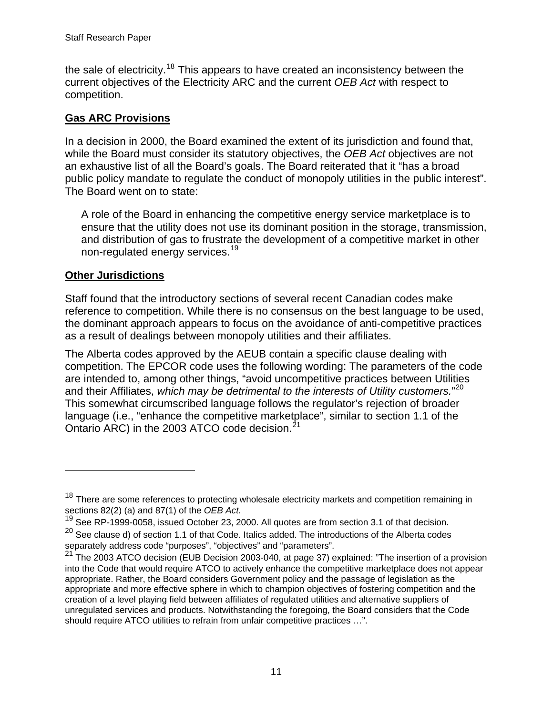the sale of electricity.<sup>[18](#page-14-0)</sup> This appears to have created an inconsistency between the current objectives of the Electricity ARC and the current *OEB Act* with respect to competition.

### **Gas ARC Provisions**

In a decision in 2000, the Board examined the extent of its jurisdiction and found that, while the Board must consider its statutory objectives, the *OEB Act* objectives are not an exhaustive list of all the Board's goals. The Board reiterated that it "has a broad public policy mandate to regulate the conduct of monopoly utilities in the public interest". The Board went on to state:

A role of the Board in enhancing the competitive energy service marketplace is to ensure that the utility does not use its dominant position in the storage, transmission, and distribution of gas to frustrate the development of a competitive market in other non-regulated energy services.<sup>[19](#page-14-1)</sup>

### **Other Jurisdictions**

 $\overline{a}$ 

Staff found that the introductory sections of several recent Canadian codes make reference to competition. While there is no consensus on the best language to be used, the dominant approach appears to focus on the avoidance of anti-competitive practices as a result of dealings between monopoly utilities and their affiliates.

The Alberta codes approved by the AEUB contain a specific clause dealing with competition. The EPCOR code uses the following wording: The parameters of the code are intended to, among other things, "avoid uncompetitive practices between Utilities and their Affiliates, *which may be detrimental to the interests of Utility customers.*" [20](#page-14-2) This somewhat circumscribed language follows the regulator's rejection of broader language (i.e., "enhance the competitive marketplace", similar to section 1.1 of the Ontario ARC) in the 2003 ATCO code decision.<sup>[21](#page-14-3)</sup>

<span id="page-14-0"></span> $18$  There are some references to protecting wholesale electricity markets and competition remaining in sections 82(2) (a) and 87(1) of the *OEB Act.*

<span id="page-14-1"></span> $19$  See RP-1999-0058, issued October 23, 2000. All quotes are from section 3.1 of that decision.

<span id="page-14-2"></span> $20$  See clause d) of section 1.1 of that Code. Italics added. The introductions of the Alberta codes separately address code "purposes", "objectives" and "parameters".

<span id="page-14-3"></span> $21$  The 2003 ATCO decision (EUB Decision 2003-040, at page 37) explained: "The insertion of a provision into the Code that would require ATCO to actively enhance the competitive marketplace does not appear appropriate. Rather, the Board considers Government policy and the passage of legislation as the appropriate and more effective sphere in which to champion objectives of fostering competition and the creation of a level playing field between affiliates of regulated utilities and alternative suppliers of unregulated services and products. Notwithstanding the foregoing, the Board considers that the Code should require ATCO utilities to refrain from unfair competitive practices …".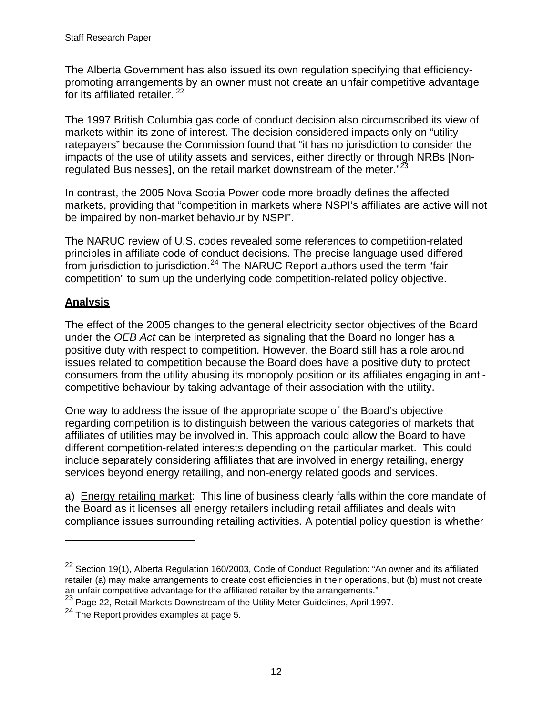The Alberta Government has also issued its own regulation specifying that efficiencypromoting arrangements by an owner must not create an unfair competitive advantage for its affiliated retailer.<sup>[22](#page-15-0)</sup>

The 1997 British Columbia gas code of conduct decision also circumscribed its view of markets within its zone of interest. The decision considered impacts only on "utility ratepayers" because the Commission found that "it has no jurisdiction to consider the impacts of the use of utility assets and services, either directly or through NRBs [Non-regulated Businesses], on the retail market downstream of the meter."<sup>[23](#page-15-1)</sup>

In contrast, the 2005 Nova Scotia Power code more broadly defines the affected markets, providing that "competition in markets where NSPI's affiliates are active will not be impaired by non-market behaviour by NSPI".

The NARUC review of U.S. codes revealed some references to competition-related principles in affiliate code of conduct decisions. The precise language used differed from jurisdiction to jurisdiction.<sup>[24](#page-15-2)</sup> The NARUC Report authors used the term "fair competition" to sum up the underlying code competition-related policy objective.

# **Analysis**

 $\overline{a}$ 

The effect of the 2005 changes to the general electricity sector objectives of the Board under the *OEB Act* can be interpreted as signaling that the Board no longer has a positive duty with respect to competition. However, the Board still has a role around issues related to competition because the Board does have a positive duty to protect consumers from the utility abusing its monopoly position or its affiliates engaging in anticompetitive behaviour by taking advantage of their association with the utility.

One way to address the issue of the appropriate scope of the Board's objective regarding competition is to distinguish between the various categories of markets that affiliates of utilities may be involved in. This approach could allow the Board to have different competition-related interests depending on the particular market. This could include separately considering affiliates that are involved in energy retailing, energy services beyond energy retailing, and non-energy related goods and services.

a) Energy retailing market: This line of business clearly falls within the core mandate of the Board as it licenses all energy retailers including retail affiliates and deals with compliance issues surrounding retailing activities. A potential policy question is whether

<span id="page-15-0"></span><sup>22</sup> Section 19(1), Alberta Regulation 160/2003, Code of Conduct Regulation: "An owner and its affiliated retailer (a) may make arrangements to create cost efficiencies in their operations, but (b) must not create an unfair competitive advantage for the affiliated retailer by the arrangements."<br><sup>23</sup> Page 22, Retail Markets Downstream of the Utility Meter Guidelines, April 1997.

<span id="page-15-2"></span><span id="page-15-1"></span> $24$  The Report provides examples at page 5.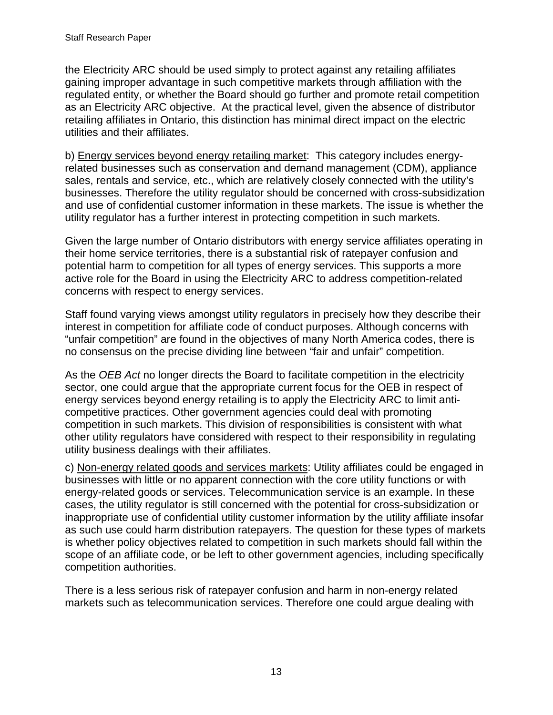the Electricity ARC should be used simply to protect against any retailing affiliates gaining improper advantage in such competitive markets through affiliation with the regulated entity, or whether the Board should go further and promote retail competition as an Electricity ARC objective. At the practical level, given the absence of distributor retailing affiliates in Ontario, this distinction has minimal direct impact on the electric utilities and their affiliates.

b) Energy services beyond energy retailing market: This category includes energyrelated businesses such as conservation and demand management (CDM), appliance sales, rentals and service, etc., which are relatively closely connected with the utility's businesses. Therefore the utility regulator should be concerned with cross-subsidization and use of confidential customer information in these markets. The issue is whether the utility regulator has a further interest in protecting competition in such markets.

Given the large number of Ontario distributors with energy service affiliates operating in their home service territories, there is a substantial risk of ratepayer confusion and potential harm to competition for all types of energy services. This supports a more active role for the Board in using the Electricity ARC to address competition-related concerns with respect to energy services.

Staff found varying views amongst utility regulators in precisely how they describe their interest in competition for affiliate code of conduct purposes. Although concerns with "unfair competition" are found in the objectives of many North America codes, there is no consensus on the precise dividing line between "fair and unfair" competition.

As the *OEB Act* no longer directs the Board to facilitate competition in the electricity sector, one could argue that the appropriate current focus for the OEB in respect of energy services beyond energy retailing is to apply the Electricity ARC to limit anticompetitive practices. Other government agencies could deal with promoting competition in such markets. This division of responsibilities is consistent with what other utility regulators have considered with respect to their responsibility in regulating utility business dealings with their affiliates.

c) Non-energy related goods and services markets: Utility affiliates could be engaged in businesses with little or no apparent connection with the core utility functions or with energy-related goods or services. Telecommunication service is an example. In these cases, the utility regulator is still concerned with the potential for cross-subsidization or inappropriate use of confidential utility customer information by the utility affiliate insofar as such use could harm distribution ratepayers. The question for these types of markets is whether policy objectives related to competition in such markets should fall within the scope of an affiliate code, or be left to other government agencies, including specifically competition authorities.

There is a less serious risk of ratepayer confusion and harm in non-energy related markets such as telecommunication services. Therefore one could argue dealing with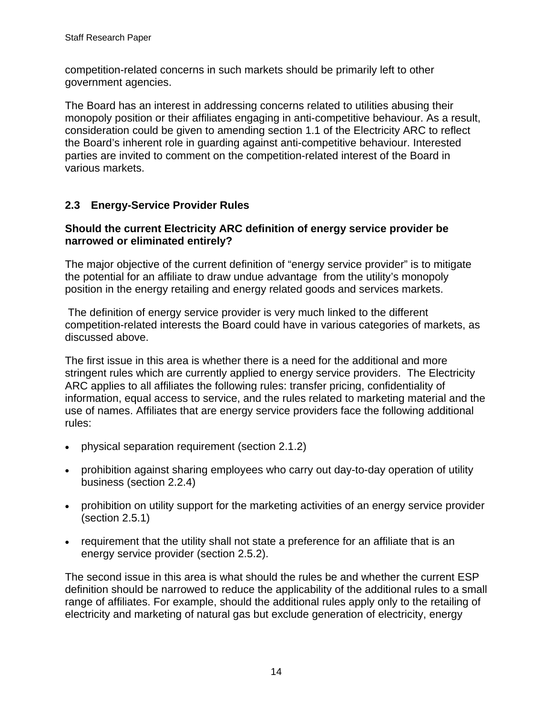<span id="page-17-0"></span>competition-related concerns in such markets should be primarily left to other government agencies.

The Board has an interest in addressing concerns related to utilities abusing their monopoly position or their affiliates engaging in anti-competitive behaviour. As a result, consideration could be given to amending section 1.1 of the Electricity ARC to reflect the Board's inherent role in guarding against anti-competitive behaviour. Interested parties are invited to comment on the competition-related interest of the Board in various markets.

# **2.3 Energy-Service Provider Rules**

#### **Should the current Electricity ARC definition of energy service provider be narrowed or eliminated entirely?**

The major objective of the current definition of "energy service provider" is to mitigate the potential for an affiliate to draw undue advantage from the utility's monopoly position in the energy retailing and energy related goods and services markets.

 The definition of energy service provider is very much linked to the different competition-related interests the Board could have in various categories of markets, as discussed above.

The first issue in this area is whether there is a need for the additional and more stringent rules which are currently applied to energy service providers. The Electricity ARC applies to all affiliates the following rules: transfer pricing, confidentiality of information, equal access to service, and the rules related to marketing material and the use of names. Affiliates that are energy service providers face the following additional rules:

- physical separation requirement (section 2.1.2)
- prohibition against sharing employees who carry out day-to-day operation of utility business (section 2.2.4)
- prohibition on utility support for the marketing activities of an energy service provider (section 2.5.1)
- requirement that the utility shall not state a preference for an affiliate that is an energy service provider (section 2.5.2).

The second issue in this area is what should the rules be and whether the current ESP definition should be narrowed to reduce the applicability of the additional rules to a small range of affiliates. For example, should the additional rules apply only to the retailing of electricity and marketing of natural gas but exclude generation of electricity, energy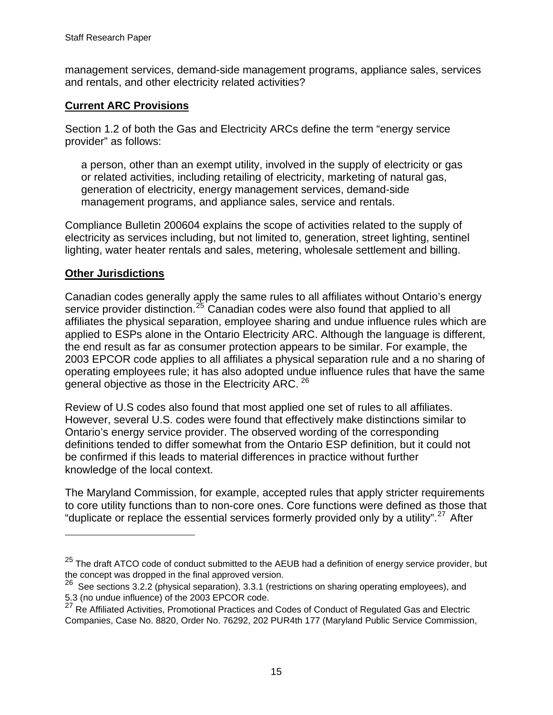management services, demand-side management programs, appliance sales, services and rentals, and other electricity related activities?

#### **Current ARC Provisions**

Section 1.2 of both the Gas and Electricity ARCs define the term "energy service provider" as follows:

a person, other than an exempt utility, involved in the supply of electricity or gas or related activities, including retailing of electricity, marketing of natural gas, generation of electricity, energy management services, demand-side management programs, and appliance sales, service and rentals.

Compliance Bulletin 200604 explains the scope of activities related to the supply of electricity as services including, but not limited to, generation, street lighting, sentinel lighting, water heater rentals and sales, metering, wholesale settlement and billing.

#### **Other Jurisdictions**

<u>.</u>

Canadian codes generally apply the same rules to all affiliates without Ontario's energy service provider distinction.<sup>[25](#page-18-0)</sup> Canadian codes were also found that applied to all affiliates the physical separation, employee sharing and undue influence rules which are applied to ESPs alone in the Ontario Electricity ARC. Although the language is different, the end result as far as consumer protection appears to be similar. For example, the 2003 EPCOR code applies to all affiliates a physical separation rule and a no sharing of operating employees rule; it has also adopted undue influence rules that have the same general objective as those in the Electricity ARC. <sup>[26](#page-18-1)</sup>

Review of U.S codes also found that most applied one set of rules to all affiliates. However, several U.S. codes were found that effectively make distinctions similar to Ontario's energy service provider. The observed wording of the corresponding definitions tended to differ somewhat from the Ontario ESP definition, but it could not be confirmed if this leads to material differences in practice without further knowledge of the local context.

The Maryland Commission, for example, accepted rules that apply stricter requirements to core utility functions than to non-core ones. Core functions were defined as those that "duplicate or replace the essential services formerly provided only by a utility".<sup>[27](#page-18-2)</sup> After

<span id="page-18-0"></span><sup>&</sup>lt;sup>25</sup> The draft ATCO code of conduct submitted to the AEUB had a definition of energy service provider, but the concept was dropped in the final approved version.

<span id="page-18-1"></span><sup>&</sup>lt;sup>26</sup> See sections 3.2.2 (physical separation), 3.3.1 (restrictions on sharing operating employees), and 5.3 (no undue influence) of the 2003 EPCOR code.

<span id="page-18-2"></span><sup>&</sup>lt;sup>27</sup> Re Affiliated Activities, Promotional Practices and Codes of Conduct of Regulated Gas and Electric Companies, Case No. 8820, Order No. 76292, 202 PUR4th 177 (Maryland Public Service Commission,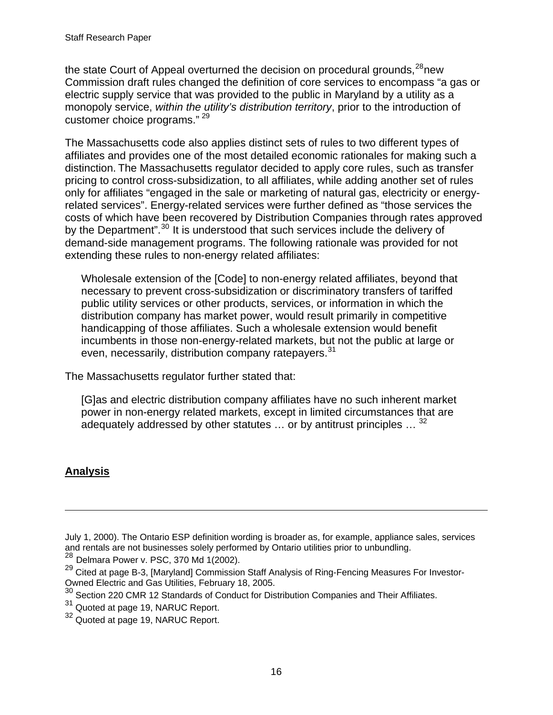the state Court of Appeal overturned the decision on procedural grounds, $^{28}$  $^{28}$  $^{28}$ new Commission draft rules changed the definition of core services to encompass "a gas or electric supply service that was provided to the public in Maryland by a utility as a monopoly service, *within the utility's distribution territory*, prior to the introduction of customer choice programs." [29](#page-19-1)

The Massachusetts code also applies distinct sets of rules to two different types of affiliates and provides one of the most detailed economic rationales for making such a distinction. The Massachusetts regulator decided to apply core rules, such as transfer pricing to control cross-subsidization, to all affiliates, while adding another set of rules only for affiliates "engaged in the sale or marketing of natural gas, electricity or energyrelated services". Energy-related services were further defined as "those services the costs of which have been recovered by Distribution Companies through rates approved by the Department".<sup>[30](#page-19-2)</sup> It is understood that such services include the delivery of demand-side management programs. The following rationale was provided for not extending these rules to non-energy related affiliates:

Wholesale extension of the [Code] to non-energy related affiliates, beyond that necessary to prevent cross-subsidization or discriminatory transfers of tariffed public utility services or other products, services, or information in which the distribution company has market power, would result primarily in competitive handicapping of those affiliates. Such a wholesale extension would benefit incumbents in those non-energy-related markets, but not the public at large or even, necessarily, distribution company ratepayers.<sup>[31](#page-19-3)</sup>

The Massachusetts regulator further stated that:

[G]as and electric distribution company affiliates have no such inherent market power in non-energy related markets, except in limited circumstances that are adequately addressed by other statutes  $\ldots$  or by antitrust principles  $\ldots$ <sup>[32](#page-19-4)</sup>

### **Analysis**

 $\overline{a}$ 

- July 1, 2000). The Ontario ESP definition wording is broader as, for example, appliance sales, services and rentals are not businesses solely performed by Ontario utilities prior to unbundling.<br><sup>28</sup> Delmara Power v. PSC, 370 Md 1(2002).
- <span id="page-19-1"></span><span id="page-19-0"></span><sup>29</sup> Cited at page B-3, [Maryland] Commission Staff Analysis of Ring-Fencing Measures For Investor-Owned Electric and Gas Utilities, February 18, 2005.
- <span id="page-19-2"></span> $30$  Section 220 CMR 12 Standards of Conduct for Distribution Companies and Their Affiliates.
- <span id="page-19-3"></span><sup>31</sup> Quoted at page 19, NARUC Report.
- <span id="page-19-4"></span><sup>32</sup> Quoted at page 19, NARUC Report.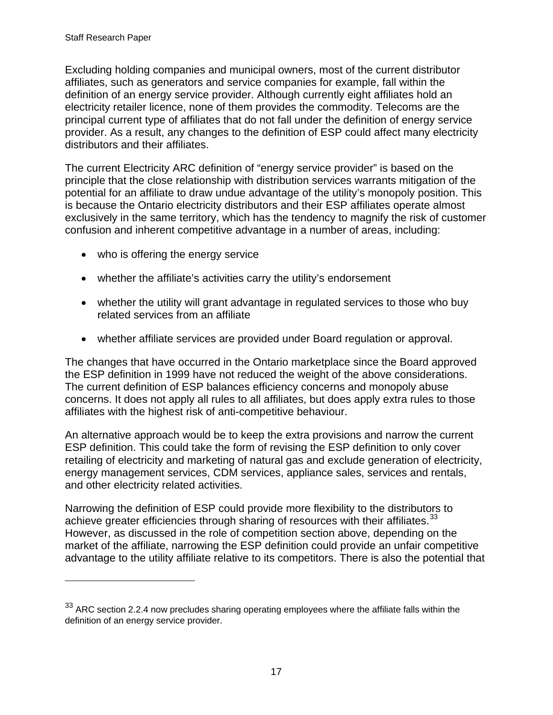$\overline{a}$ 

Excluding holding companies and municipal owners, most of the current distributor affiliates, such as generators and service companies for example, fall within the definition of an energy service provider. Although currently eight affiliates hold an electricity retailer licence, none of them provides the commodity. Telecoms are the principal current type of affiliates that do not fall under the definition of energy service provider. As a result, any changes to the definition of ESP could affect many electricity distributors and their affiliates.

The current Electricity ARC definition of "energy service provider" is based on the principle that the close relationship with distribution services warrants mitigation of the potential for an affiliate to draw undue advantage of the utility's monopoly position. This is because the Ontario electricity distributors and their ESP affiliates operate almost exclusively in the same territory, which has the tendency to magnify the risk of customer confusion and inherent competitive advantage in a number of areas, including:

- who is offering the energy service
- whether the affiliate's activities carry the utility's endorsement
- whether the utility will grant advantage in regulated services to those who buy related services from an affiliate
- whether affiliate services are provided under Board regulation or approval.

The changes that have occurred in the Ontario marketplace since the Board approved the ESP definition in 1999 have not reduced the weight of the above considerations. The current definition of ESP balances efficiency concerns and monopoly abuse concerns. It does not apply all rules to all affiliates, but does apply extra rules to those affiliates with the highest risk of anti-competitive behaviour.

An alternative approach would be to keep the extra provisions and narrow the current ESP definition. This could take the form of revising the ESP definition to only cover retailing of electricity and marketing of natural gas and exclude generation of electricity, energy management services, CDM services, appliance sales, services and rentals, and other electricity related activities.

Narrowing the definition of ESP could provide more flexibility to the distributors to achieve greater efficiencies through sharing of resources with their affiliates.<sup>[33](#page-20-0)</sup> However, as discussed in the role of competition section above, depending on the market of the affiliate, narrowing the ESP definition could provide an unfair competitive advantage to the utility affiliate relative to its competitors. There is also the potential that

<span id="page-20-0"></span> $33$  ARC section 2.2.4 now precludes sharing operating employees where the affiliate falls within the definition of an energy service provider.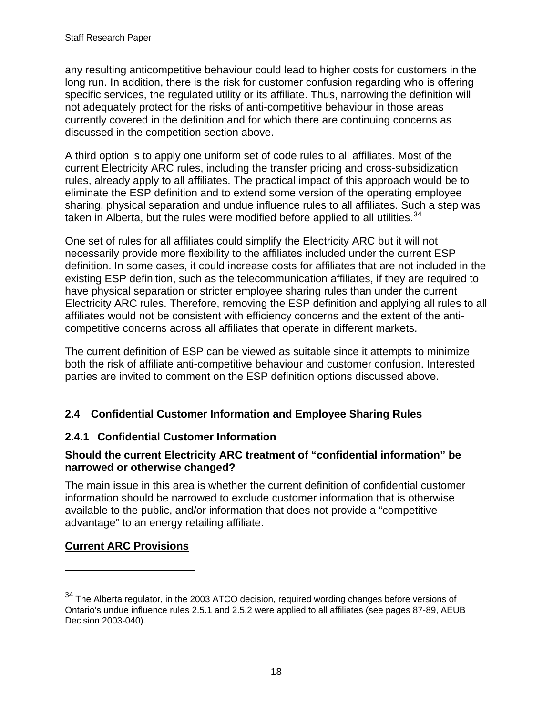<span id="page-21-0"></span>any resulting anticompetitive behaviour could lead to higher costs for customers in the long run. In addition, there is the risk for customer confusion regarding who is offering specific services, the regulated utility or its affiliate. Thus, narrowing the definition will not adequately protect for the risks of anti-competitive behaviour in those areas currently covered in the definition and for which there are continuing concerns as discussed in the competition section above.

A third option is to apply one uniform set of code rules to all affiliates. Most of the current Electricity ARC rules, including the transfer pricing and cross-subsidization rules, already apply to all affiliates. The practical impact of this approach would be to eliminate the ESP definition and to extend some version of the operating employee sharing, physical separation and undue influence rules to all affiliates. Such a step was taken in Alberta, but the rules were modified before applied to all utilities.  $34$ 

One set of rules for all affiliates could simplify the Electricity ARC but it will not necessarily provide more flexibility to the affiliates included under the current ESP definition. In some cases, it could increase costs for affiliates that are not included in the existing ESP definition, such as the telecommunication affiliates, if they are required to have physical separation or stricter employee sharing rules than under the current Electricity ARC rules. Therefore, removing the ESP definition and applying all rules to all affiliates would not be consistent with efficiency concerns and the extent of the anticompetitive concerns across all affiliates that operate in different markets.

The current definition of ESP can be viewed as suitable since it attempts to minimize both the risk of affiliate anti-competitive behaviour and customer confusion. Interested parties are invited to comment on the ESP definition options discussed above.

# **2.4 Confidential Customer Information and Employee Sharing Rules**

# **2.4.1 Confidential Customer Information**

#### **Should the current Electricity ARC treatment of "confidential information" be narrowed or otherwise changed?**

The main issue in this area is whether the current definition of confidential customer information should be narrowed to exclude customer information that is otherwise available to the public, and/or information that does not provide a "competitive advantage" to an energy retailing affiliate.

# **Current ARC Provisions**

 $\overline{a}$ 

<span id="page-21-1"></span><sup>&</sup>lt;sup>34</sup> The Alberta regulator, in the 2003 ATCO decision, required wording changes before versions of Ontario's undue influence rules 2.5.1 and 2.5.2 were applied to all affiliates (see pages 87-89, AEUB Decision 2003-040).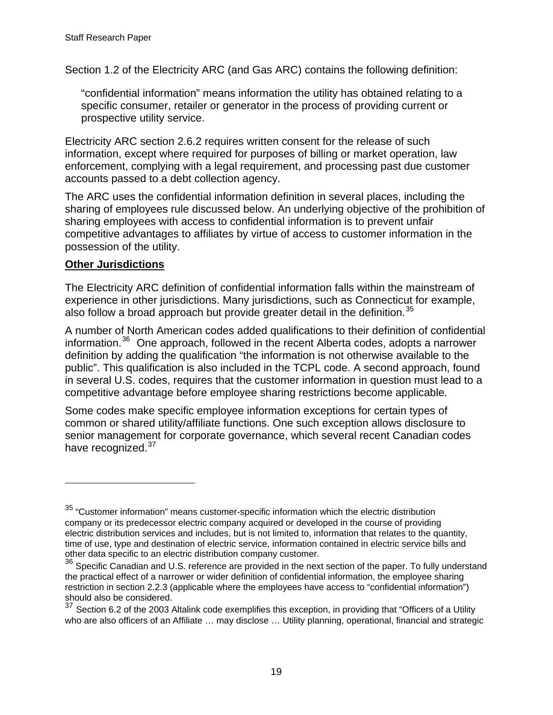Section 1.2 of the Electricity ARC (and Gas ARC) contains the following definition:

"confidential information" means information the utility has obtained relating to a specific consumer, retailer or generator in the process of providing current or prospective utility service.

Electricity ARC section 2.6.2 requires written consent for the release of such information, except where required for purposes of billing or market operation, law enforcement, complying with a legal requirement, and processing past due customer accounts passed to a debt collection agency.

The ARC uses the confidential information definition in several places, including the sharing of employees rule discussed below. An underlying objective of the prohibition of sharing employees with access to confidential information is to prevent unfair competitive advantages to affiliates by virtue of access to customer information in the possession of the utility.

### **Other Jurisdictions**

 $\overline{a}$ 

The Electricity ARC definition of confidential information falls within the mainstream of experience in other jurisdictions. Many jurisdictions, such as Connecticut for example, also follow a broad approach but provide greater detail in the definition.<sup>[35](#page-22-0)</sup>

A number of North American codes added qualifications to their definition of confidential information.<sup>[36](#page-22-1)</sup> One approach, followed in the recent Alberta codes, adopts a narrower definition by adding the qualification "the information is not otherwise available to the public". This qualification is also included in the TCPL code. A second approach, found in several U.S. codes, requires that the customer information in question must lead to a competitive advantage before employee sharing restrictions become applicable.

Some codes make specific employee information exceptions for certain types of common or shared utility/affiliate functions. One such exception allows disclosure to senior management for corporate governance, which several recent Canadian codes have recognized.<sup>[37](#page-22-2)</sup>

<span id="page-22-0"></span><sup>&</sup>lt;sup>35</sup> "Customer information" means customer-specific information which the electric distribution company or its predecessor electric company acquired or developed in the course of providing electric distribution services and includes, but is not limited to, information that relates to the quantity, time of use, type and destination of electric service, information contained in electric service bills and other data specific to an electric distribution company customer.

<span id="page-22-1"></span><sup>36</sup> Specific Canadian and U.S. reference are provided in the next section of the paper. To fully understand the practical effect of a narrower or wider definition of confidential information, the employee sharing restriction in section 2.2.3 (applicable where the employees have access to "confidential information") should also be considered.

<span id="page-22-2"></span>Section 6.2 of the 2003 Altalink code exemplifies this exception, in providing that "Officers of a Utility who are also officers of an Affiliate ... may disclose ... Utility planning, operational, financial and strategic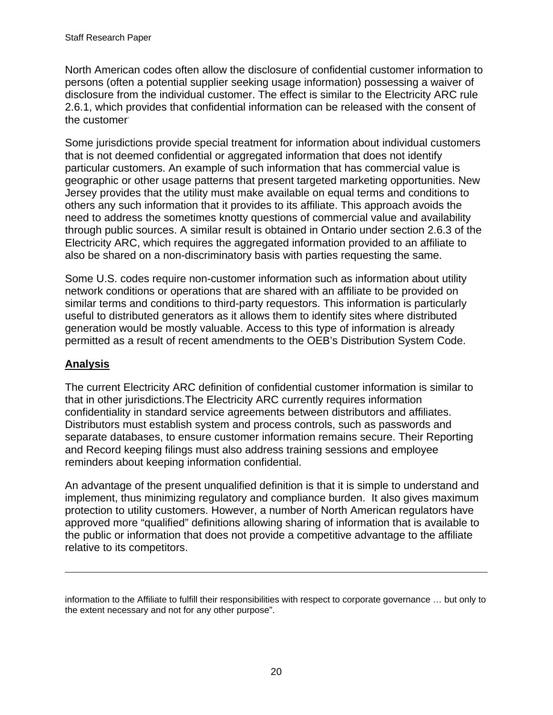North American codes often allow the disclosure of confidential customer information to persons (often a potential supplier seeking usage information) possessing a waiver of disclosure from the individual customer. The effect is similar to the Electricity ARC rule 2.6.1, which provides that confidential information can be released with the consent of the customer.

Some jurisdictions provide special treatment for information about individual customers that is not deemed confidential or aggregated information that does not identify particular customers. An example of such information that has commercial value is geographic or other usage patterns that present targeted marketing opportunities. New Jersey provides that the utility must make available on equal terms and conditions to others any such information that it provides to its affiliate. This approach avoids the need to address the sometimes knotty questions of commercial value and availability through public sources. A similar result is obtained in Ontario under section 2.6.3 of the Electricity ARC, which requires the aggregated information provided to an affiliate to also be shared on a non-discriminatory basis with parties requesting the same.

Some U.S. codes require non-customer information such as information about utility network conditions or operations that are shared with an affiliate to be provided on similar terms and conditions to third-party requestors. This information is particularly useful to distributed generators as it allows them to identify sites where distributed generation would be mostly valuable. Access to this type of information is already permitted as a result of recent amendments to the OEB's Distribution System Code.

# **Analysis**

 $\overline{a}$ 

The current Electricity ARC definition of confidential customer information is similar to that in other jurisdictions.The Electricity ARC currently requires information confidentiality in standard service agreements between distributors and affiliates. Distributors must establish system and process controls, such as passwords and separate databases, to ensure customer information remains secure. Their Reporting and Record keeping filings must also address training sessions and employee reminders about keeping information confidential.

An advantage of the present unqualified definition is that it is simple to understand and implement, thus minimizing regulatory and compliance burden. It also gives maximum protection to utility customers. However, a number of North American regulators have approved more "qualified" definitions allowing sharing of information that is available to the public or information that does not provide a competitive advantage to the affiliate relative to its competitors.

information to the Affiliate to fulfill their responsibilities with respect to corporate governance … but only to the extent necessary and not for any other purpose".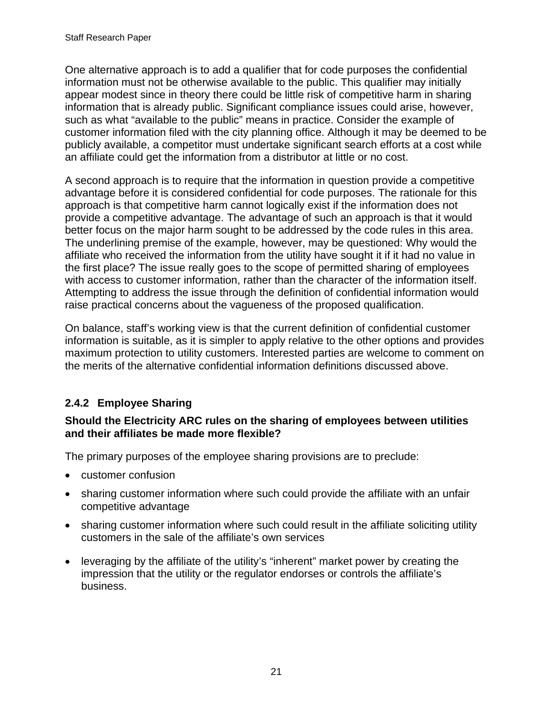<span id="page-24-0"></span>One alternative approach is to add a qualifier that for code purposes the confidential information must not be otherwise available to the public. This qualifier may initially appear modest since in theory there could be little risk of competitive harm in sharing information that is already public. Significant compliance issues could arise, however, such as what "available to the public" means in practice. Consider the example of customer information filed with the city planning office. Although it may be deemed to be publicly available, a competitor must undertake significant search efforts at a cost while an affiliate could get the information from a distributor at little or no cost.

A second approach is to require that the information in question provide a competitive advantage before it is considered confidential for code purposes. The rationale for this approach is that competitive harm cannot logically exist if the information does not provide a competitive advantage. The advantage of such an approach is that it would better focus on the major harm sought to be addressed by the code rules in this area. The underlining premise of the example, however, may be questioned: Why would the affiliate who received the information from the utility have sought it if it had no value in the first place? The issue really goes to the scope of permitted sharing of employees with access to customer information, rather than the character of the information itself. Attempting to address the issue through the definition of confidential information would raise practical concerns about the vagueness of the proposed qualification.

On balance, staff's working view is that the current definition of confidential customer information is suitable, as it is simpler to apply relative to the other options and provides maximum protection to utility customers. Interested parties are welcome to comment on the merits of the alternative confidential information definitions discussed above.

# **2.4.2 Employee Sharing**

### **Should the Electricity ARC rules on the sharing of employees between utilities and their affiliates be made more flexible?**

The primary purposes of the employee sharing provisions are to preclude:

- customer confusion
- sharing customer information where such could provide the affiliate with an unfair competitive advantage
- sharing customer information where such could result in the affiliate soliciting utility customers in the sale of the affiliate's own services
- leveraging by the affiliate of the utility's "inherent" market power by creating the impression that the utility or the regulator endorses or controls the affiliate's business.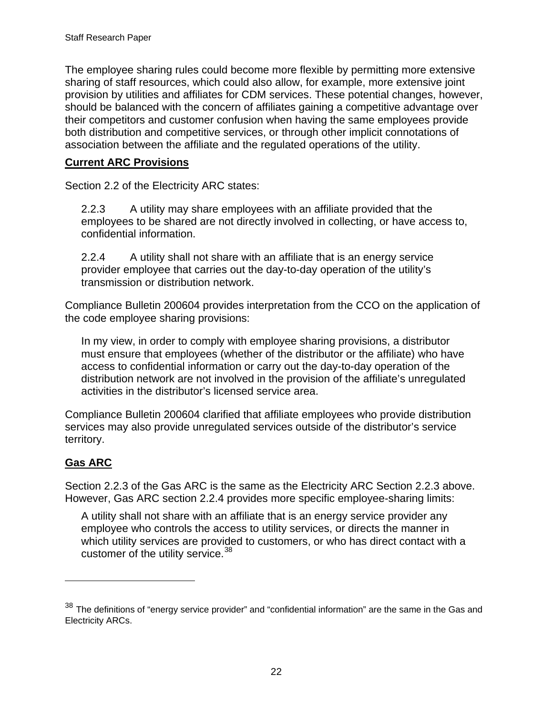The employee sharing rules could become more flexible by permitting more extensive sharing of staff resources, which could also allow, for example, more extensive joint provision by utilities and affiliates for CDM services. These potential changes, however, should be balanced with the concern of affiliates gaining a competitive advantage over their competitors and customer confusion when having the same employees provide both distribution and competitive services, or through other implicit connotations of association between the affiliate and the regulated operations of the utility.

### **Current ARC Provisions**

Section 2.2 of the Electricity ARC states:

2.2.3 A utility may share employees with an affiliate provided that the employees to be shared are not directly involved in collecting, or have access to, confidential information.

2.2.4 A utility shall not share with an affiliate that is an energy service provider employee that carries out the day-to-day operation of the utility's transmission or distribution network.

Compliance Bulletin 200604 provides interpretation from the CCO on the application of the code employee sharing provisions:

In my view, in order to comply with employee sharing provisions, a distributor must ensure that employees (whether of the distributor or the affiliate) who have access to confidential information or carry out the day-to-day operation of the distribution network are not involved in the provision of the affiliate's unregulated activities in the distributor's licensed service area.

Compliance Bulletin 200604 clarified that affiliate employees who provide distribution services may also provide unregulated services outside of the distributor's service territory.

# **Gas ARC**

 $\overline{a}$ 

Section 2.2.3 of the Gas ARC is the same as the Electricity ARC Section 2.2.3 above. However, Gas ARC section 2.2.4 provides more specific employee-sharing limits:

A utility shall not share with an affiliate that is an energy service provider any employee who controls the access to utility services, or directs the manner in which utility services are provided to customers, or who has direct contact with a customer of the utility service.<sup>[38](#page-25-0)</sup>

<span id="page-25-0"></span><sup>&</sup>lt;sup>38</sup> The definitions of "energy service provider" and "confidential information" are the same in the Gas and Electricity ARCs.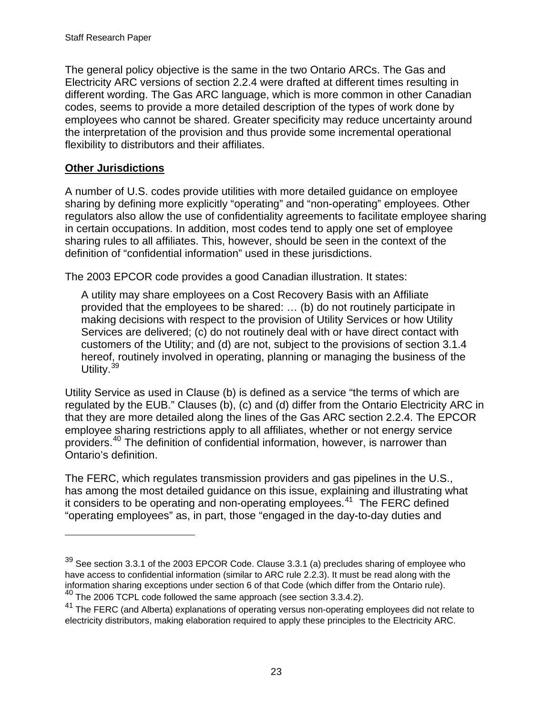The general policy objective is the same in the two Ontario ARCs. The Gas and Electricity ARC versions of section 2.2.4 were drafted at different times resulting in different wording. The Gas ARC language, which is more common in other Canadian codes, seems to provide a more detailed description of the types of work done by employees who cannot be shared. Greater specificity may reduce uncertainty around the interpretation of the provision and thus provide some incremental operational flexibility to distributors and their affiliates.

### **Other Jurisdictions**

 $\overline{a}$ 

A number of U.S. codes provide utilities with more detailed guidance on employee sharing by defining more explicitly "operating" and "non-operating" employees. Other regulators also allow the use of confidentiality agreements to facilitate employee sharing in certain occupations. In addition, most codes tend to apply one set of employee sharing rules to all affiliates. This, however, should be seen in the context of the definition of "confidential information" used in these jurisdictions.

The 2003 EPCOR code provides a good Canadian illustration. It states:

A utility may share employees on a Cost Recovery Basis with an Affiliate provided that the employees to be shared: … (b) do not routinely participate in making decisions with respect to the provision of Utility Services or how Utility Services are delivered; (c) do not routinely deal with or have direct contact with customers of the Utility; and (d) are not, subject to the provisions of section 3.1.4 hereof, routinely involved in operating, planning or managing the business of the Utility.<sup>[39](#page-26-0)</sup>

Utility Service as used in Clause (b) is defined as a service "the terms of which are regulated by the EUB." Clauses (b), (c) and (d) differ from the Ontario Electricity ARC in that they are more detailed along the lines of the Gas ARC section 2.2.4. The EPCOR employee sharing restrictions apply to all affiliates, whether or not energy service providers.[40](#page-26-1) The definition of confidential information, however, is narrower than Ontario's definition.

The FERC, which regulates transmission providers and gas pipelines in the U.S., has among the most detailed guidance on this issue, explaining and illustrating what it considers to be operating and non-operating employees.<sup>[41](#page-26-2)</sup> The FERC defined "operating employees" as, in part, those "engaged in the day-to-day duties and

<span id="page-26-0"></span> $39$  See section 3.3.1 of the 2003 EPCOR Code. Clause 3.3.1 (a) precludes sharing of employee who have access to confidential information (similar to ARC rule 2.2.3). It must be read along with the information sharing exceptions under section 6 of that Code (which differ from the Ontario rule).

<span id="page-26-1"></span><sup>&</sup>lt;sup>40</sup> The 2006 TCPL code followed the same approach (see section 3.3.4.2).

<span id="page-26-2"></span><sup>&</sup>lt;sup>41</sup> The FERC (and Alberta) explanations of operating versus non-operating employees did not relate to electricity distributors, making elaboration required to apply these principles to the Electricity ARC.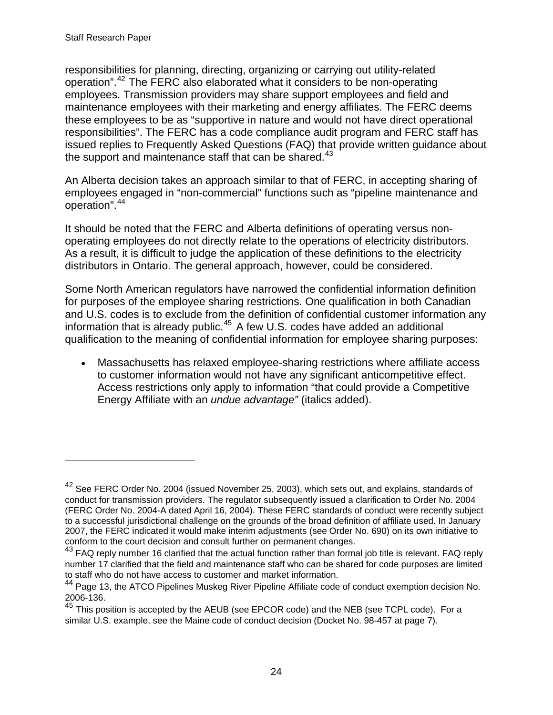$\overline{a}$ 

responsibilities for planning, directing, organizing or carrying out utility-related operation".[42](#page-27-0) The FERC also elaborated what it considers to be non-operating employees. Transmission providers may share support employees and field and maintenance employees with their marketing and energy affiliates. The FERC deems these employees to be as "supportive in nature and would not have direct operational responsibilities". The FERC has a code compliance audit program and FERC staff has issued replies to Frequently Asked Questions (FAQ) that provide written guidance about the support and maintenance staff that can be shared. $43$ 

An Alberta decision takes an approach similar to that of FERC, in accepting sharing of employees engaged in "non-commercial" functions such as "pipeline maintenance and operation".[44](#page-27-2)

It should be noted that the FERC and Alberta definitions of operating versus nonoperating employees do not directly relate to the operations of electricity distributors. As a result, it is difficult to judge the application of these definitions to the electricity distributors in Ontario. The general approach, however, could be considered.

Some North American regulators have narrowed the confidential information definition for purposes of the employee sharing restrictions. One qualification in both Canadian and U.S. codes is to exclude from the definition of confidential customer information any information that is already public. $45$  A few U.S. codes have added an additional qualification to the meaning of confidential information for employee sharing purposes:

• Massachusetts has relaxed employee-sharing restrictions where affiliate access to customer information would not have any significant anticompetitive effect. Access restrictions only apply to information "that could provide a Competitive Energy Affiliate with an *undue advantage"* (italics added).

<span id="page-27-0"></span><sup>&</sup>lt;sup>42</sup> See FERC Order No. 2004 (issued November 25, 2003), which sets out, and explains, standards of conduct for transmission providers. The regulator subsequently issued a clarification to Order No. 2004 (FERC Order No. 2004-A dated April 16, 2004). These FERC standards of conduct were recently subject to a successful jurisdictional challenge on the grounds of the broad definition of affiliate used. In January 2007, the FERC indicated it would make interim adjustments (see Order No. 690) on its own initiative to conform to the court decision and consult further on permanent changes.

<span id="page-27-1"></span><sup>&</sup>lt;sup>43</sup> FAQ reply number 16 clarified that the actual function rather than formal job title is relevant. FAQ reply number 17 clarified that the field and maintenance staff who can be shared for code purposes are limited to staff who do not have access to customer and market information.

<span id="page-27-2"></span><sup>&</sup>lt;sup>44</sup> Page 13, the ATCO Pipelines Muskeg River Pipeline Affiliate code of conduct exemption decision No. 2006-136.

<span id="page-27-3"></span><sup>&</sup>lt;sup>45</sup> This position is accepted by the AEUB (see EPCOR code) and the NEB (see TCPL code). For a similar U.S. example, see the Maine code of conduct decision (Docket No. 98-457 at page 7).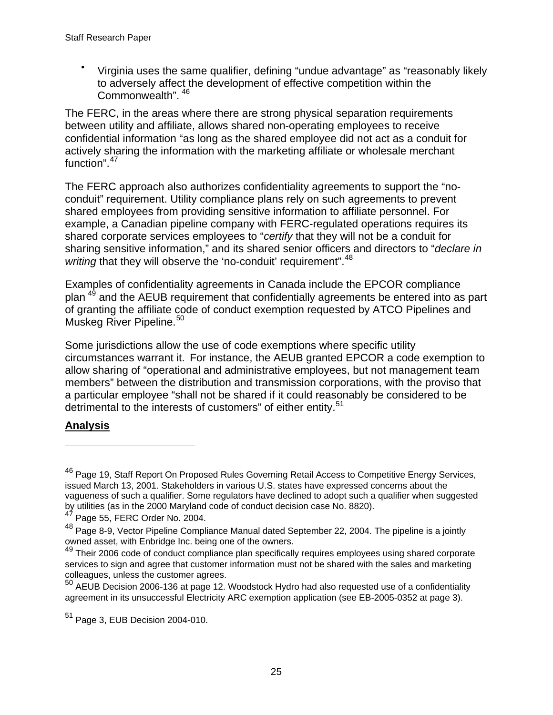• Virginia uses the same qualifier, defining "undue advantage" as "reasonably likely to adversely affect the development of effective competition within the Commonwealth". [46](#page-28-0)

The FERC, in the areas where there are strong physical separation requirements between utility and affiliate, allows shared non-operating employees to receive confidential information "as long as the shared employee did not act as a conduit for actively sharing the information with the marketing affiliate or wholesale merchant function".<sup>[47](#page-28-1)</sup>

The FERC approach also authorizes confidentiality agreements to support the "noconduit" requirement. Utility compliance plans rely on such agreements to prevent shared employees from providing sensitive information to affiliate personnel. For example, a Canadian pipeline company with FERC-regulated operations requires its shared corporate services employees to "*certify* that they will not be a conduit for sharing sensitive information," and its shared senior officers and directors to "*declare in writing* that they will observe the 'no-conduit' requirement".<sup>[48](#page-28-2)</sup>

Examples of confidentiality agreements in Canada include the EPCOR compliance plan <sup>[49](#page-28-3)</sup> and the AEUB requirement that confidentially agreements be entered into as part of granting the affiliate code of conduct exemption requested by ATCO Pipelines and Muskeg River Pipeline.<sup>[50](#page-28-4)</sup>

Some jurisdictions allow the use of code exemptions where specific utility circumstances warrant it. For instance, the AEUB granted EPCOR a code exemption to allow sharing of "operational and administrative employees, but not management team members" between the distribution and transmission corporations, with the proviso that a particular employee "shall not be shared if it could reasonably be considered to be detrimental to the interests of customers" of either entity.<sup>[51](#page-28-5)</sup>

# **Analysis**

 $\overline{a}$ 

<span id="page-28-0"></span><sup>&</sup>lt;sup>46</sup> Page 19, Staff Report On Proposed Rules Governing Retail Access to Competitive Energy Services, issued March 13, 2001. Stakeholders in various U.S. states have expressed concerns about the vagueness of such a qualifier. Some regulators have declined to adopt such a qualifier when suggested by utilities (as in the 2000 Maryland code of conduct decision case No. 8820).

<span id="page-28-1"></span> $47$  Page 55, FERC Order No. 2004.

<span id="page-28-2"></span><sup>48</sup> Page 8-9, Vector Pipeline Compliance Manual dated September 22, 2004. The pipeline is a jointly owned asset, with Enbridge Inc. being one of the owners.

<span id="page-28-3"></span><sup>&</sup>lt;sup>49</sup> Their 2006 code of conduct compliance plan specifically requires employees using shared corporate services to sign and agree that customer information must not be shared with the sales and marketing colleagues, unless the customer agrees.

<span id="page-28-4"></span> $50$  AEUB Decision 2006-136 at page 12. Woodstock Hydro had also requested use of a confidentiality agreement in its unsuccessful Electricity ARC exemption application (see EB-2005-0352 at page 3).

<span id="page-28-5"></span> $51$  Page 3, EUB Decision 2004-010.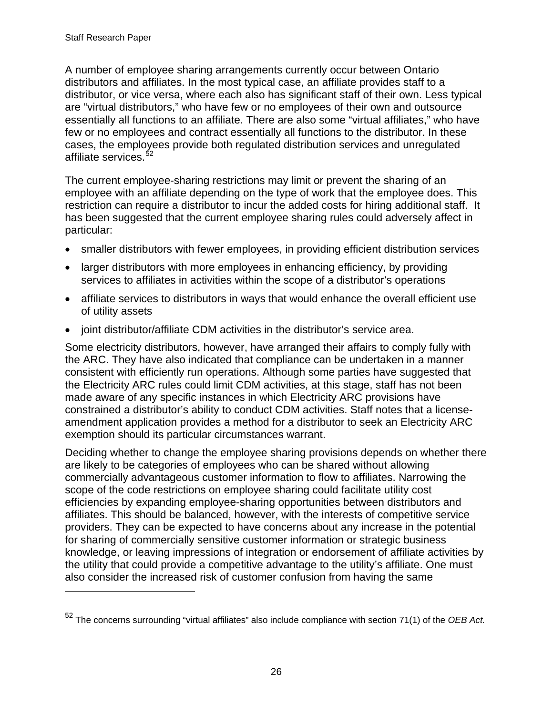$\overline{a}$ 

A number of employee sharing arrangements currently occur between Ontario distributors and affiliates. In the most typical case, an affiliate provides staff to a distributor, or vice versa, where each also has significant staff of their own. Less typical are "virtual distributors," who have few or no employees of their own and outsource essentially all functions to an affiliate. There are also some "virtual affiliates," who have few or no employees and contract essentially all functions to the distributor. In these cases, the employees provide both regulated distribution services and unregulated affiliate services.<sup>[52](#page-29-0)</sup>

The current employee-sharing restrictions may limit or prevent the sharing of an employee with an affiliate depending on the type of work that the employee does. This restriction can require a distributor to incur the added costs for hiring additional staff. It has been suggested that the current employee sharing rules could adversely affect in particular:

- smaller distributors with fewer employees, in providing efficient distribution services
- larger distributors with more employees in enhancing efficiency, by providing services to affiliates in activities within the scope of a distributor's operations
- affiliate services to distributors in ways that would enhance the overall efficient use of utility assets
- joint distributor/affiliate CDM activities in the distributor's service area.

Some electricity distributors, however, have arranged their affairs to comply fully with the ARC. They have also indicated that compliance can be undertaken in a manner consistent with efficiently run operations. Although some parties have suggested that the Electricity ARC rules could limit CDM activities, at this stage, staff has not been made aware of any specific instances in which Electricity ARC provisions have constrained a distributor's ability to conduct CDM activities. Staff notes that a licenseamendment application provides a method for a distributor to seek an Electricity ARC exemption should its particular circumstances warrant.

Deciding whether to change the employee sharing provisions depends on whether there are likely to be categories of employees who can be shared without allowing commercially advantageous customer information to flow to affiliates. Narrowing the scope of the code restrictions on employee sharing could facilitate utility cost efficiencies by expanding employee-sharing opportunities between distributors and affiliates. This should be balanced, however, with the interests of competitive service providers. They can be expected to have concerns about any increase in the potential for sharing of commercially sensitive customer information or strategic business knowledge, or leaving impressions of integration or endorsement of affiliate activities by the utility that could provide a competitive advantage to the utility's affiliate. One must also consider the increased risk of customer confusion from having the same

<span id="page-29-0"></span><sup>52</sup> The concerns surrounding "virtual affiliates" also include compliance with section 71(1) of the *OEB Act.*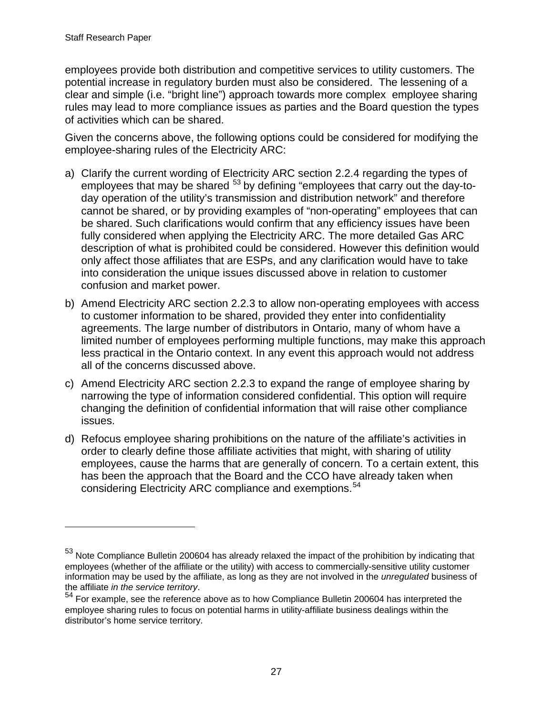$\overline{a}$ 

employees provide both distribution and competitive services to utility customers. The potential increase in regulatory burden must also be considered. The lessening of a clear and simple (i.e. "bright line") approach towards more complex employee sharing rules may lead to more compliance issues as parties and the Board question the types of activities which can be shared.

Given the concerns above, the following options could be considered for modifying the employee-sharing rules of the Electricity ARC:

- a) Clarify the current wording of Electricity ARC section 2.2.4 regarding the types of employees that may be shared <sup>[53](#page-30-0)</sup> by defining "employees that carry out the day-today operation of the utility's transmission and distribution network" and therefore cannot be shared, or by providing examples of "non-operating" employees that can be shared. Such clarifications would confirm that any efficiency issues have been fully considered when applying the Electricity ARC. The more detailed Gas ARC description of what is prohibited could be considered. However this definition would only affect those affiliates that are ESPs, and any clarification would have to take into consideration the unique issues discussed above in relation to customer confusion and market power.
- b) Amend Electricity ARC section 2.2.3 to allow non-operating employees with access to customer information to be shared, provided they enter into confidentiality agreements. The large number of distributors in Ontario, many of whom have a limited number of employees performing multiple functions, may make this approach less practical in the Ontario context. In any event this approach would not address all of the concerns discussed above.
- c) Amend Electricity ARC section 2.2.3 to expand the range of employee sharing by narrowing the type of information considered confidential. This option will require changing the definition of confidential information that will raise other compliance issues.
- d) Refocus employee sharing prohibitions on the nature of the affiliate's activities in order to clearly define those affiliate activities that might, with sharing of utility employees, cause the harms that are generally of concern. To a certain extent, this has been the approach that the Board and the CCO have already taken when considering Electricity ARC compliance and exemptions.<sup>[54](#page-30-1)</sup>

<span id="page-30-0"></span><sup>&</sup>lt;sup>53</sup> Note Compliance Bulletin 200604 has already relaxed the impact of the prohibition by indicating that employees (whether of the affiliate or the utility) with access to commercially-sensitive utility customer information may be used by the affiliate, as long as they are not involved in the *unregulated* business of

<span id="page-30-1"></span>the affiliate *in the service territory*. 54 For example, see the reference above as to how Compliance Bulletin 200604 has interpreted the employee sharing rules to focus on potential harms in utility-affiliate business dealings within the distributor's home service territory.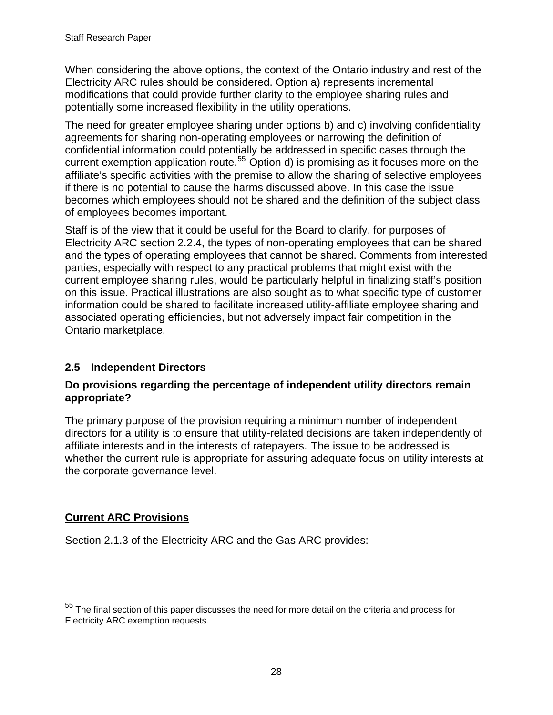<span id="page-31-0"></span>When considering the above options, the context of the Ontario industry and rest of the Electricity ARC rules should be considered. Option a) represents incremental modifications that could provide further clarity to the employee sharing rules and potentially some increased flexibility in the utility operations.

The need for greater employee sharing under options b) and c) involving confidentiality agreements for sharing non-operating employees or narrowing the definition of confidential information could potentially be addressed in specific cases through the current exemption application route.<sup>[55](#page-31-1)</sup> Option d) is promising as it focuses more on the affiliate's specific activities with the premise to allow the sharing of selective employees if there is no potential to cause the harms discussed above. In this case the issue becomes which employees should not be shared and the definition of the subject class of employees becomes important.

Staff is of the view that it could be useful for the Board to clarify, for purposes of Electricity ARC section 2.2.4, the types of non-operating employees that can be shared and the types of operating employees that cannot be shared. Comments from interested parties, especially with respect to any practical problems that might exist with the current employee sharing rules, would be particularly helpful in finalizing staff's position on this issue. Practical illustrations are also sought as to what specific type of customer information could be shared to facilitate increased utility-affiliate employee sharing and associated operating efficiencies, but not adversely impact fair competition in the Ontario marketplace.

# **2.5 Independent Directors**

#### **Do provisions regarding the percentage of independent utility directors remain appropriate?**

The primary purpose of the provision requiring a minimum number of independent directors for a utility is to ensure that utility-related decisions are taken independently of affiliate interests and in the interests of ratepayers. The issue to be addressed is whether the current rule is appropriate for assuring adequate focus on utility interests at the corporate governance level.

### **Current ARC Provisions**

 $\overline{a}$ 

Section 2.1.3 of the Electricity ARC and the Gas ARC provides:

<span id="page-31-1"></span> $55$  The final section of this paper discusses the need for more detail on the criteria and process for Electricity ARC exemption requests.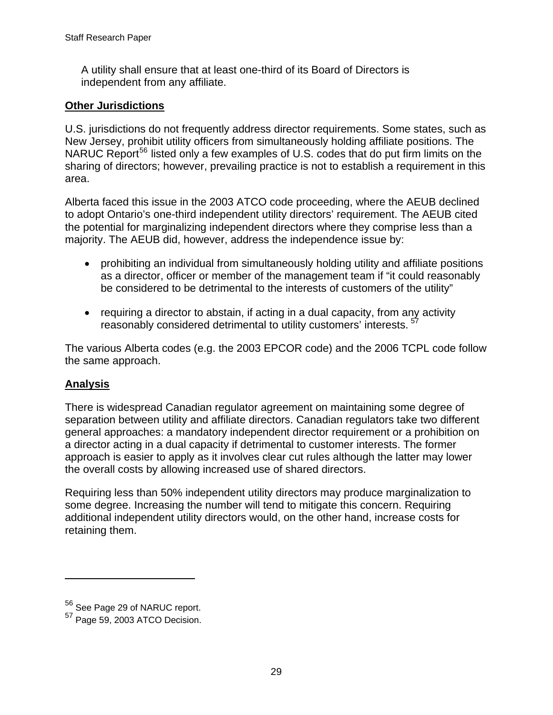A utility shall ensure that at least one-third of its Board of Directors is independent from any affiliate.

#### **Other Jurisdictions**

U.S. jurisdictions do not frequently address director requirements. Some states, such as New Jersey, prohibit utility officers from simultaneously holding affiliate positions. The NARUC Report<sup>[56](#page-32-0)</sup> listed only a few examples of U.S. codes that do put firm limits on the sharing of directors; however, prevailing practice is not to establish a requirement in this area.

Alberta faced this issue in the 2003 ATCO code proceeding, where the AEUB declined to adopt Ontario's one-third independent utility directors' requirement. The AEUB cited the potential for marginalizing independent directors where they comprise less than a majority. The AEUB did, however, address the independence issue by:

- prohibiting an individual from simultaneously holding utility and affiliate positions as a director, officer or member of the management team if "it could reasonably be considered to be detrimental to the interests of customers of the utility"
- requiring a director to abstain, if acting in a dual capacity, from any activity reasonably considered detrimental to utility customers' interests.<sup>[57](#page-32-1)</sup>

The various Alberta codes (e.g. the 2003 EPCOR code) and the 2006 TCPL code follow the same approach.

### **Analysis**

 $\overline{a}$ 

There is widespread Canadian regulator agreement on maintaining some degree of separation between utility and affiliate directors. Canadian regulators take two different general approaches: a mandatory independent director requirement or a prohibition on a director acting in a dual capacity if detrimental to customer interests. The former approach is easier to apply as it involves clear cut rules although the latter may lower the overall costs by allowing increased use of shared directors.

Requiring less than 50% independent utility directors may produce marginalization to some degree. Increasing the number will tend to mitigate this concern. Requiring additional independent utility directors would, on the other hand, increase costs for retaining them.

<span id="page-32-0"></span><sup>56</sup> See Page 29 of NARUC report.

<span id="page-32-1"></span><sup>57</sup> Page 59, 2003 ATCO Decision.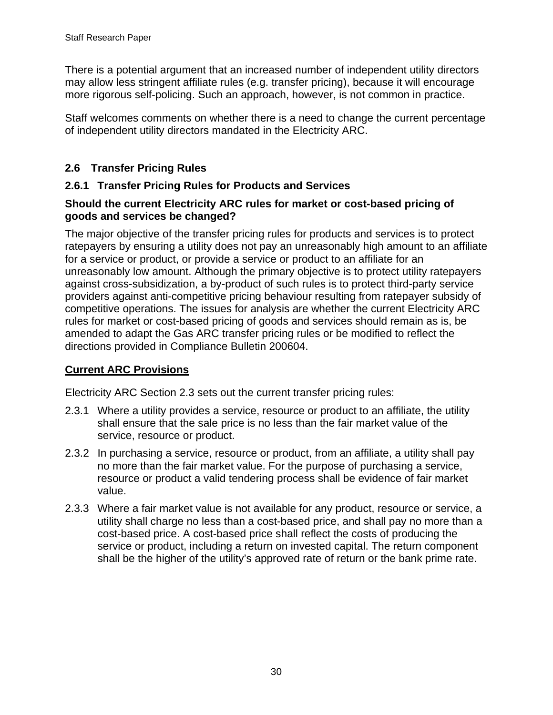<span id="page-33-0"></span>There is a potential argument that an increased number of independent utility directors may allow less stringent affiliate rules (e.g. transfer pricing), because it will encourage more rigorous self-policing. Such an approach, however, is not common in practice.

Staff welcomes comments on whether there is a need to change the current percentage of independent utility directors mandated in the Electricity ARC.

# **2.6 Transfer Pricing Rules**

### **2.6.1 Transfer Pricing Rules for Products and Services**

### **Should the current Electricity ARC rules for market or cost-based pricing of goods and services be changed?**

The major objective of the transfer pricing rules for products and services is to protect ratepayers by ensuring a utility does not pay an unreasonably high amount to an affiliate for a service or product, or provide a service or product to an affiliate for an unreasonably low amount. Although the primary objective is to protect utility ratepayers against cross-subsidization, a by-product of such rules is to protect third-party service providers against anti-competitive pricing behaviour resulting from ratepayer subsidy of competitive operations. The issues for analysis are whether the current Electricity ARC rules for market or cost-based pricing of goods and services should remain as is, be amended to adapt the Gas ARC transfer pricing rules or be modified to reflect the directions provided in Compliance Bulletin 200604.

# **Current ARC Provisions**

Electricity ARC Section 2.3 sets out the current transfer pricing rules:

- 2.3.1 Where a utility provides a service, resource or product to an affiliate, the utility shall ensure that the sale price is no less than the fair market value of the service, resource or product.
- 2.3.2 In purchasing a service, resource or product, from an affiliate, a utility shall pay no more than the fair market value. For the purpose of purchasing a service, resource or product a valid tendering process shall be evidence of fair market value.
- 2.3.3 Where a fair market value is not available for any product, resource or service, a utility shall charge no less than a cost-based price, and shall pay no more than a cost-based price. A cost-based price shall reflect the costs of producing the service or product, including a return on invested capital. The return component shall be the higher of the utility's approved rate of return or the bank prime rate.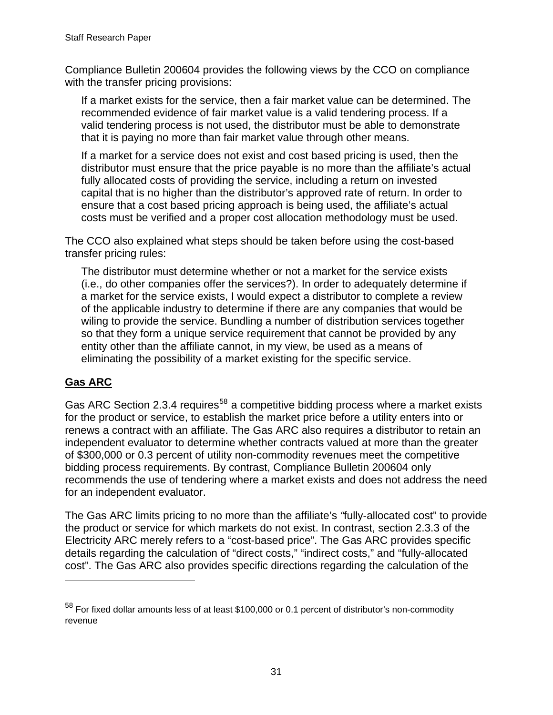Compliance Bulletin 200604 provides the following views by the CCO on compliance with the transfer pricing provisions:

If a market exists for the service, then a fair market value can be determined. The recommended evidence of fair market value is a valid tendering process. If a valid tendering process is not used, the distributor must be able to demonstrate that it is paying no more than fair market value through other means.

If a market for a service does not exist and cost based pricing is used, then the distributor must ensure that the price payable is no more than the affiliate's actual fully allocated costs of providing the service, including a return on invested capital that is no higher than the distributor's approved rate of return. In order to ensure that a cost based pricing approach is being used, the affiliate's actual costs must be verified and a proper cost allocation methodology must be used.

The CCO also explained what steps should be taken before using the cost-based transfer pricing rules:

The distributor must determine whether or not a market for the service exists (i.e., do other companies offer the services?). In order to adequately determine if a market for the service exists, I would expect a distributor to complete a review of the applicable industry to determine if there are any companies that would be wiling to provide the service. Bundling a number of distribution services together so that they form a unique service requirement that cannot be provided by any entity other than the affiliate cannot, in my view, be used as a means of eliminating the possibility of a market existing for the specific service.

### **Gas ARC**

 $\overline{a}$ 

Gas ARC Section 2.3.4 requires<sup>[58](#page-34-0)</sup> a competitive bidding process where a market exists for the product or service, to establish the market price before a utility enters into or renews a contract with an affiliate. The Gas ARC also requires a distributor to retain an independent evaluator to determine whether contracts valued at more than the greater of \$300,000 or 0.3 percent of utility non-commodity revenues meet the competitive bidding process requirements. By contrast, Compliance Bulletin 200604 only recommends the use of tendering where a market exists and does not address the need for an independent evaluator.

The Gas ARC limits pricing to no more than the affiliate's *"*fully-allocated cost" to provide the product or service for which markets do not exist. In contrast, section 2.3.3 of the Electricity ARC merely refers to a "cost-based price". The Gas ARC provides specific details regarding the calculation of "direct costs," "indirect costs," and "fully-allocated cost". The Gas ARC also provides specific directions regarding the calculation of the

<span id="page-34-0"></span> $<sup>58</sup>$  For fixed dollar amounts less of at least \$100,000 or 0.1 percent of distributor's non-commodity</sup> revenue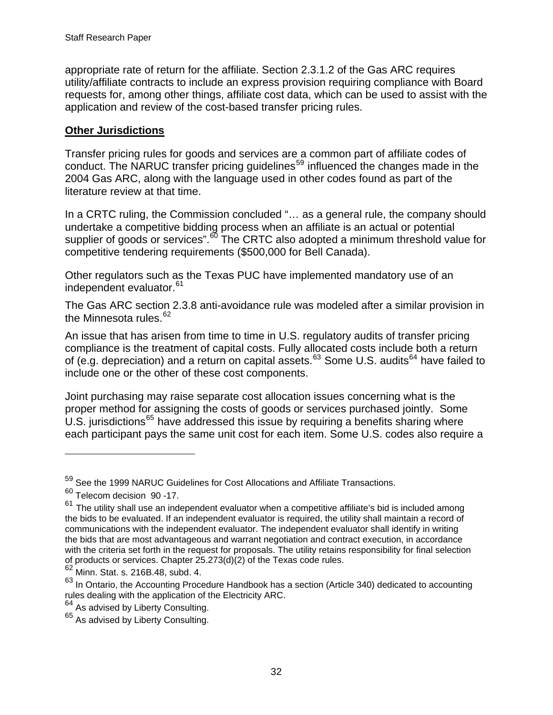appropriate rate of return for the affiliate. Section 2.3.1.2 of the Gas ARC requires utility/affiliate contracts to include an express provision requiring compliance with Board requests for, among other things, affiliate cost data, which can be used to assist with the application and review of the cost-based transfer pricing rules.

#### **Other Jurisdictions**

Transfer pricing rules for goods and services are a common part of affiliate codes of conduct. The NARUC transfer pricing guidelines<sup>[59](#page-35-0)</sup> influenced the changes made in the 2004 Gas ARC, along with the language used in other codes found as part of the literature review at that time.

In a CRTC ruling, the Commission concluded "... as a general rule, the company should undertake a competitive bidding process when an affiliate is an actual or potential supplier of goods or services".<sup>[60](#page-35-1)</sup> The CRTC also adopted a minimum threshold value for competitive tendering requirements (\$500,000 for Bell Canada).

Other regulators such as the Texas PUC have implemented mandatory use of an independent evaluator.<sup>[61](#page-35-2)</sup>

The Gas ARC section 2.3.8 anti-avoidance rule was modeled after a similar provision in the Minnesota rules. $62$ 

An issue that has arisen from time to time in U.S. regulatory audits of transfer pricing compliance is the treatment of capital costs. Fully allocated costs include both a return of (e.g. depreciation) and a return on capital assets.<sup>[63](#page-35-4)</sup> Some U.S. audits<sup>[64](#page-35-5)</sup> have failed to include one or the other of these cost components.

Joint purchasing may raise separate cost allocation issues concerning what is the proper method for assigning the costs of goods or services purchased jointly. Some U.S. jurisdictions<sup>[65](#page-35-6)</sup> have addressed this issue by requiring a benefits sharing where each participant pays the same unit cost for each item. Some U.S. codes also require a

 $\overline{a}$ 

<span id="page-35-0"></span><sup>59</sup> See the 1999 NARUC Guidelines for Cost Allocations and Affiliate Transactions.

<span id="page-35-1"></span><sup>60</sup> Telecom decision 90 -17.

<span id="page-35-2"></span> $61$  The utility shall use an independent evaluator when a competitive affiliate's bid is included among the bids to be evaluated. If an independent evaluator is required, the utility shall maintain a record of communications with the independent evaluator. The independent evaluator shall identify in writing the bids that are most advantageous and warrant negotiation and contract execution, in accordance with the criteria set forth in the request for proposals. The utility retains responsibility for final selection of products or services. Chapter 25.273(d)(2) of the Texas code rules.

<span id="page-35-3"></span> $62$  Minn. Stat. s. 216B.48, subd. 4.

<span id="page-35-4"></span> $63$  In Ontario, the Accounting Procedure Handbook has a section (Article 340) dedicated to accounting rules dealing with the application of the Electricity ARC.

<span id="page-35-5"></span> $64$  As advised by Liberty Consulting.

<span id="page-35-6"></span><sup>&</sup>lt;sup>65</sup> As advised by Liberty Consulting.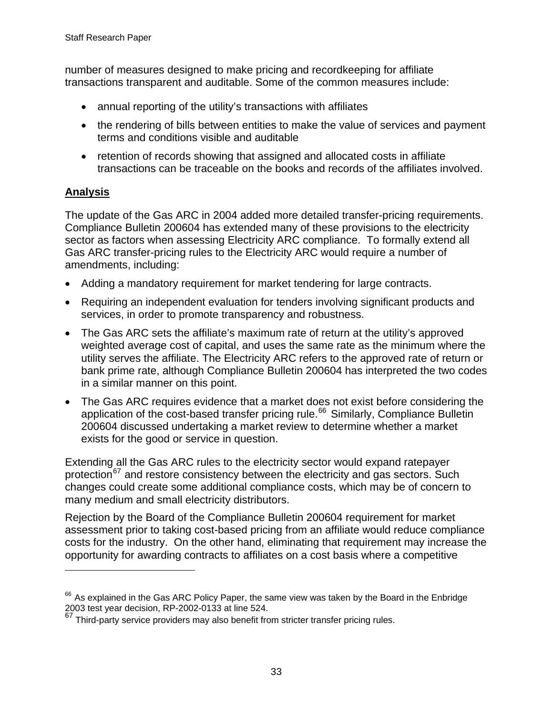number of measures designed to make pricing and recordkeeping for affiliate transactions transparent and auditable. Some of the common measures include:

- annual reporting of the utility's transactions with affiliates
- the rendering of bills between entities to make the value of services and payment terms and conditions visible and auditable
- retention of records showing that assigned and allocated costs in affiliate transactions can be traceable on the books and records of the affiliates involved.

### **Analysis**

 $\overline{a}$ 

The update of the Gas ARC in 2004 added more detailed transfer-pricing requirements. Compliance Bulletin 200604 has extended many of these provisions to the electricity sector as factors when assessing Electricity ARC compliance. To formally extend all Gas ARC transfer-pricing rules to the Electricity ARC would require a number of amendments, including:

- Adding a mandatory requirement for market tendering for large contracts.
- Requiring an independent evaluation for tenders involving significant products and services, in order to promote transparency and robustness.
- The Gas ARC sets the affiliate's maximum rate of return at the utility's approved weighted average cost of capital, and uses the same rate as the minimum where the utility serves the affiliate. The Electricity ARC refers to the approved rate of return or bank prime rate, although Compliance Bulletin 200604 has interpreted the two codes in a similar manner on this point.
- The Gas ARC requires evidence that a market does not exist before considering the application of the cost-based transfer pricing rule.<sup>[66](#page-36-0)</sup> Similarly, Compliance Bulletin 200604 discussed undertaking a market review to determine whether a market exists for the good or service in question.

Extending all the Gas ARC rules to the electricity sector would expand ratepayer protection<sup>[67](#page-36-1)</sup> and restore consistency between the electricity and gas sectors. Such changes could create some additional compliance costs, which may be of concern to many medium and small electricity distributors.

Rejection by the Board of the Compliance Bulletin 200604 requirement for market assessment prior to taking cost-based pricing from an affiliate would reduce compliance costs for the industry. On the other hand, eliminating that requirement may increase the opportunity for awarding contracts to affiliates on a cost basis where a competitive

<span id="page-36-0"></span> $66$  As explained in the Gas ARC Policy Paper, the same view was taken by the Board in the Enbridge 2003 test year decision, RP-2002-0133 at line 524.

<span id="page-36-1"></span> $67$  Third-party service providers may also benefit from stricter transfer pricing rules.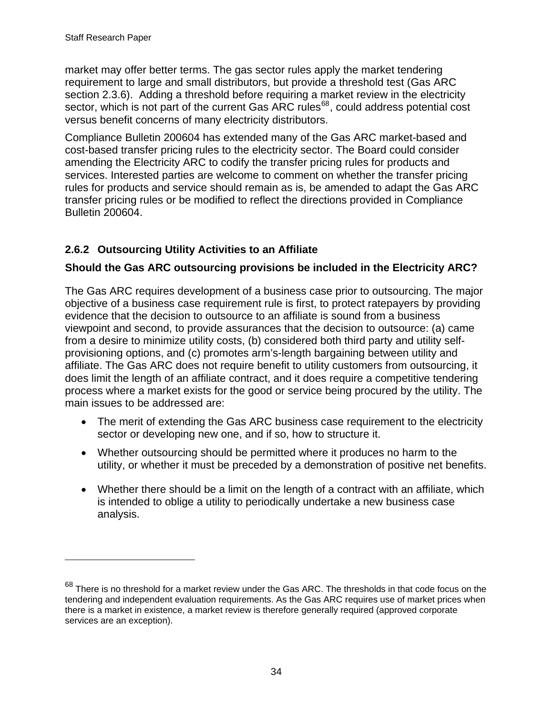$\overline{a}$ 

<span id="page-37-0"></span>market may offer better terms. The gas sector rules apply the market tendering requirement to large and small distributors, but provide a threshold test (Gas ARC section 2.3.6). Adding a threshold before requiring a market review in the electricity sector, which is not part of the current Gas ARC rules $^{68}$  $^{68}$  $^{68}$ , could address potential cost versus benefit concerns of many electricity distributors.

Compliance Bulletin 200604 has extended many of the Gas ARC market-based and cost-based transfer pricing rules to the electricity sector. The Board could consider amending the Electricity ARC to codify the transfer pricing rules for products and services. Interested parties are welcome to comment on whether the transfer pricing rules for products and service should remain as is, be amended to adapt the Gas ARC transfer pricing rules or be modified to reflect the directions provided in Compliance Bulletin 200604.

# **2.6.2 Outsourcing Utility Activities to an Affiliate**

### **Should the Gas ARC outsourcing provisions be included in the Electricity ARC?**

The Gas ARC requires development of a business case prior to outsourcing. The major objective of a business case requirement rule is first, to protect ratepayers by providing evidence that the decision to outsource to an affiliate is sound from a business viewpoint and second, to provide assurances that the decision to outsource: (a) came from a desire to minimize utility costs, (b) considered both third party and utility selfprovisioning options, and (c) promotes arm's-length bargaining between utility and affiliate. The Gas ARC does not require benefit to utility customers from outsourcing, it does limit the length of an affiliate contract, and it does require a competitive tendering process where a market exists for the good or service being procured by the utility. The main issues to be addressed are:

- The merit of extending the Gas ARC business case requirement to the electricity sector or developing new one, and if so, how to structure it.
- Whether outsourcing should be permitted where it produces no harm to the utility, or whether it must be preceded by a demonstration of positive net benefits.
- Whether there should be a limit on the length of a contract with an affiliate, which is intended to oblige a utility to periodically undertake a new business case analysis.

<span id="page-37-1"></span> $68$  There is no threshold for a market review under the Gas ARC. The thresholds in that code focus on the tendering and independent evaluation requirements. As the Gas ARC requires use of market prices when there is a market in existence, a market review is therefore generally required (approved corporate services are an exception).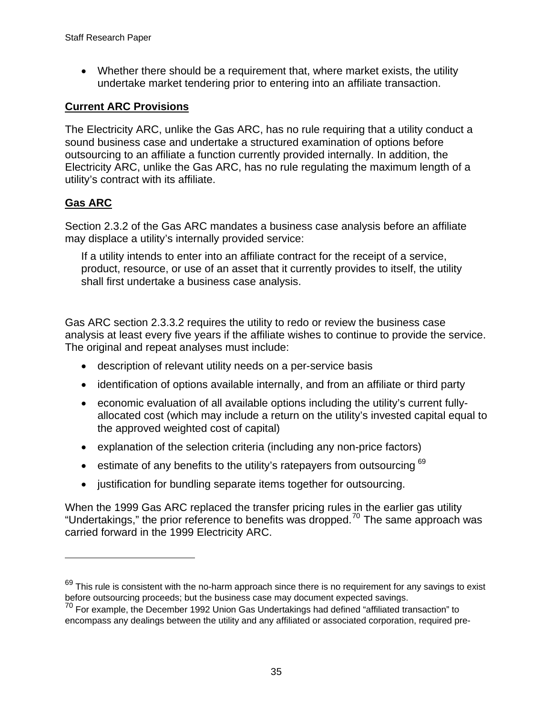• Whether there should be a requirement that, where market exists, the utility undertake market tendering prior to entering into an affiliate transaction.

#### **Current ARC Provisions**

The Electricity ARC, unlike the Gas ARC, has no rule requiring that a utility conduct a sound business case and undertake a structured examination of options before outsourcing to an affiliate a function currently provided internally. In addition, the Electricity ARC, unlike the Gas ARC, has no rule regulating the maximum length of a utility's contract with its affiliate.

### **Gas ARC**

 $\overline{a}$ 

Section 2.3.2 of the Gas ARC mandates a business case analysis before an affiliate may displace a utility's internally provided service:

If a utility intends to enter into an affiliate contract for the receipt of a service, product, resource, or use of an asset that it currently provides to itself, the utility shall first undertake a business case analysis.

Gas ARC section 2.3.3.2 requires the utility to redo or review the business case analysis at least every five years if the affiliate wishes to continue to provide the service. The original and repeat analyses must include:

- description of relevant utility needs on a per-service basis
- identification of options available internally, and from an affiliate or third party
- economic evaluation of all available options including the utility's current fullyallocated cost (which may include a return on the utility's invested capital equal to the approved weighted cost of capital)
- explanation of the selection criteria (including any non-price factors)
- estimate of any benefits to the utility's ratepayers from outsourcing [69](#page-38-0)
- justification for bundling separate items together for outsourcing.

When the 1999 Gas ARC replaced the transfer pricing rules in the earlier gas utility "Undertakings," the prior reference to benefits was dropped.<sup>[70](#page-38-1)</sup> The same approach was carried forward in the 1999 Electricity ARC.

<span id="page-38-0"></span> $69$  This rule is consistent with the no-harm approach since there is no requirement for any savings to exist before outsourcing proceeds; but the business case may document expected savings.

<span id="page-38-1"></span> $10^{70}$  For example, the December 1992 Union Gas Undertakings had defined "affiliated transaction" to encompass any dealings between the utility and any affiliated or associated corporation, required pre-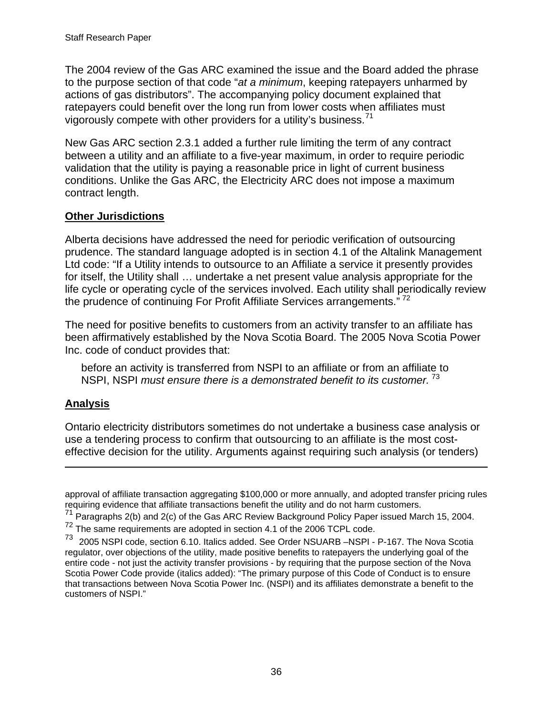The 2004 review of the Gas ARC examined the issue and the Board added the phrase to the purpose section of that code "*at a minimum*, keeping ratepayers unharmed by actions of gas distributors". The accompanying policy document explained that ratepayers could benefit over the long run from lower costs when affiliates must vigorously compete with other providers for a utility's business.<sup>[71](#page-39-0)</sup>

New Gas ARC section 2.3.1 added a further rule limiting the term of any contract between a utility and an affiliate to a five-year maximum, in order to require periodic validation that the utility is paying a reasonable price in light of current business conditions. Unlike the Gas ARC, the Electricity ARC does not impose a maximum contract length.

#### **Other Jurisdictions**

Alberta decisions have addressed the need for periodic verification of outsourcing prudence. The standard language adopted is in section 4.1 of the Altalink Management Ltd code: "If a Utility intends to outsource to an Affiliate a service it presently provides for itself, the Utility shall … undertake a net present value analysis appropriate for the life cycle or operating cycle of the services involved. Each utility shall periodically review the prudence of continuing For Profit Affiliate Services arrangements."<sup>[72](#page-39-1)</sup>

The need for positive benefits to customers from an activity transfer to an affiliate has been affirmatively established by the Nova Scotia Board. The 2005 Nova Scotia Power Inc. code of conduct provides that:

before an activity is transferred from NSPI to an affiliate or from an affiliate to NSPI, NSPI *must ensure there is a demonstrated benefit to its customer.* [73](#page-39-2)

#### **Analysis**

 $\overline{a}$ 

Ontario electricity distributors sometimes do not undertake a business case analysis or use a tendering process to confirm that outsourcing to an affiliate is the most costeffective decision for the utility. Arguments against requiring such analysis (or tenders)

approval of affiliate transaction aggregating \$100,000 or more annually, and adopted transfer pricing rules requiring evidence that affiliate transactions benefit the utility and do not harm customers.

<span id="page-39-1"></span><span id="page-39-0"></span><sup>&</sup>lt;sup>71</sup> Paragraphs 2(b) and 2(c) of the Gas ARC Review Background Policy Paper issued March 15, 2004.  $72$  The same requirements are adopted in section 4.1 of the 2006 TCPL code.

<span id="page-39-2"></span><sup>73 2005</sup> NSPI code, section 6.10. Italics added. See Order NSUARB –NSPI - P-167. The Nova Scotia regulator, over objections of the utility, made positive benefits to ratepayers the underlying goal of the entire code - not just the activity transfer provisions - by requiring that the purpose section of the Nova Scotia Power Code provide (italics added): "The primary purpose of this Code of Conduct is to ensure that transactions between Nova Scotia Power Inc. (NSPI) and its affiliates demonstrate a benefit to the customers of NSPI."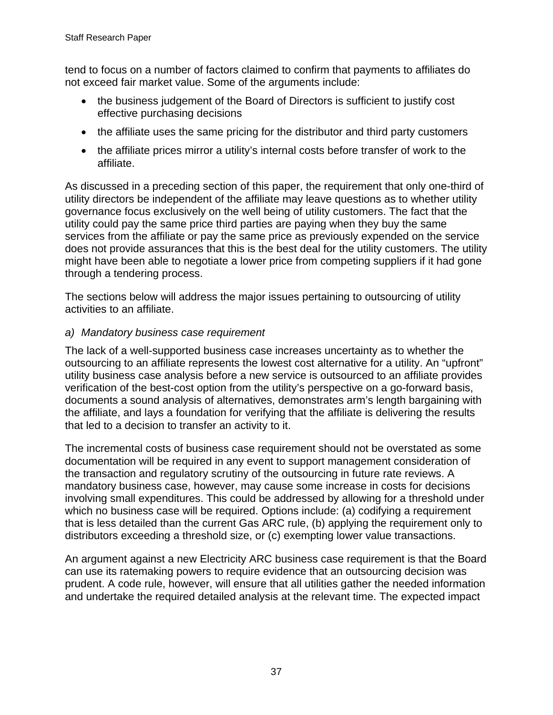tend to focus on a number of factors claimed to confirm that payments to affiliates do not exceed fair market value. Some of the arguments include:

- the business judgement of the Board of Directors is sufficient to justify cost effective purchasing decisions
- the affiliate uses the same pricing for the distributor and third party customers
- the affiliate prices mirror a utility's internal costs before transfer of work to the affiliate.

As discussed in a preceding section of this paper, the requirement that only one-third of utility directors be independent of the affiliate may leave questions as to whether utility governance focus exclusively on the well being of utility customers. The fact that the utility could pay the same price third parties are paying when they buy the same services from the affiliate or pay the same price as previously expended on the service does not provide assurances that this is the best deal for the utility customers. The utility might have been able to negotiate a lower price from competing suppliers if it had gone through a tendering process.

The sections below will address the major issues pertaining to outsourcing of utility activities to an affiliate.

### *a) Mandatory business case requirement*

The lack of a well-supported business case increases uncertainty as to whether the outsourcing to an affiliate represents the lowest cost alternative for a utility. An "upfront" utility business case analysis before a new service is outsourced to an affiliate provides verification of the best-cost option from the utility's perspective on a go-forward basis, documents a sound analysis of alternatives, demonstrates arm's length bargaining with the affiliate, and lays a foundation for verifying that the affiliate is delivering the results that led to a decision to transfer an activity to it.

The incremental costs of business case requirement should not be overstated as some documentation will be required in any event to support management consideration of the transaction and regulatory scrutiny of the outsourcing in future rate reviews. A mandatory business case, however, may cause some increase in costs for decisions involving small expenditures. This could be addressed by allowing for a threshold under which no business case will be required. Options include: (a) codifying a requirement that is less detailed than the current Gas ARC rule, (b) applying the requirement only to distributors exceeding a threshold size, or (c) exempting lower value transactions.

An argument against a new Electricity ARC business case requirement is that the Board can use its ratemaking powers to require evidence that an outsourcing decision was prudent. A code rule, however, will ensure that all utilities gather the needed information and undertake the required detailed analysis at the relevant time. The expected impact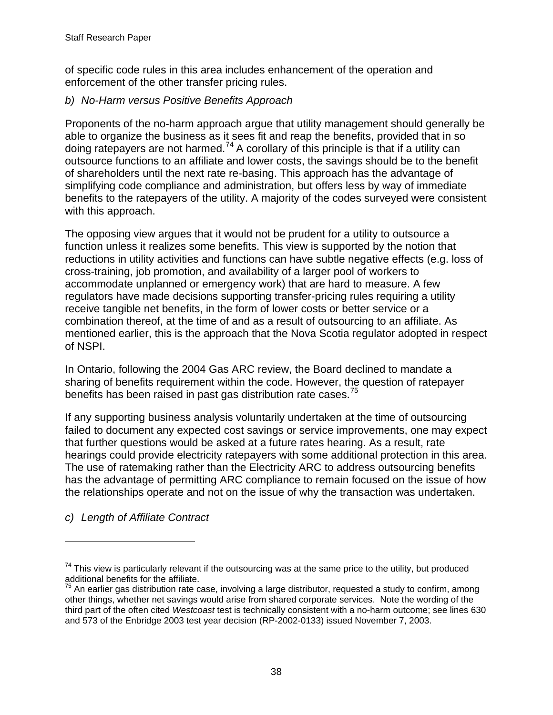of specific code rules in this area includes enhancement of the operation and enforcement of the other transfer pricing rules.

### *b) No-Harm versus Positive Benefits Approach*

Proponents of the no-harm approach argue that utility management should generally be able to organize the business as it sees fit and reap the benefits, provided that in so doing ratepayers are not harmed.<sup>[74](#page-41-0)</sup> A corollary of this principle is that if a utility can outsource functions to an affiliate and lower costs, the savings should be to the benefit of shareholders until the next rate re-basing. This approach has the advantage of simplifying code compliance and administration, but offers less by way of immediate benefits to the ratepayers of the utility. A majority of the codes surveyed were consistent with this approach.

The opposing view argues that it would not be prudent for a utility to outsource a function unless it realizes some benefits. This view is supported by the notion that reductions in utility activities and functions can have subtle negative effects (e.g. loss of cross-training, job promotion, and availability of a larger pool of workers to accommodate unplanned or emergency work) that are hard to measure. A few regulators have made decisions supporting transfer-pricing rules requiring a utility receive tangible net benefits, in the form of lower costs or better service or a combination thereof, at the time of and as a result of outsourcing to an affiliate. As mentioned earlier, this is the approach that the Nova Scotia regulator adopted in respect of NSPI.

In Ontario, following the 2004 Gas ARC review, the Board declined to mandate a sharing of benefits requirement within the code. However, the question of ratepayer benefits has been raised in past gas distribution rate cases.<sup>[75](#page-41-1)</sup>

If any supporting business analysis voluntarily undertaken at the time of outsourcing failed to document any expected cost savings or service improvements, one may expect that further questions would be asked at a future rates hearing. As a result, rate hearings could provide electricity ratepayers with some additional protection in this area. The use of ratemaking rather than the Electricity ARC to address outsourcing benefits has the advantage of permitting ARC compliance to remain focused on the issue of how the relationships operate and not on the issue of why the transaction was undertaken.

*c) Length of Affiliate Contract* 

 $\overline{a}$ 

<span id="page-41-0"></span> $74$  This view is particularly relevant if the outsourcing was at the same price to the utility, but produced additional benefits for the affiliate.

<span id="page-41-1"></span> $^5$  An earlier gas distribution rate case, involving a large distributor, requested a study to confirm, among other things, whether net savings would arise from shared corporate services. Note the wording of the third part of the often cited *Westcoast* test is technically consistent with a no-harm outcome; see lines 630 and 573 of the Enbridge 2003 test year decision (RP-2002-0133) issued November 7, 2003.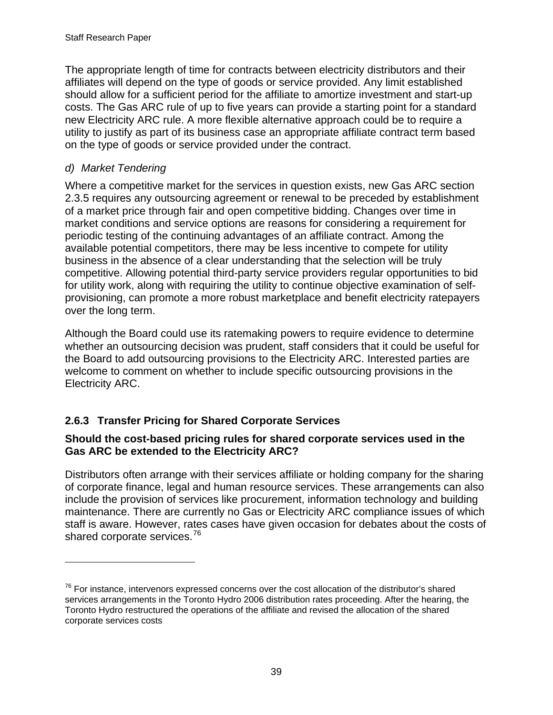<span id="page-42-0"></span>The appropriate length of time for contracts between electricity distributors and their affiliates will depend on the type of goods or service provided. Any limit established should allow for a sufficient period for the affiliate to amortize investment and start-up costs. The Gas ARC rule of up to five years can provide a starting point for a standard new Electricity ARC rule. A more flexible alternative approach could be to require a utility to justify as part of its business case an appropriate affiliate contract term based on the type of goods or service provided under the contract.

### *d) Market Tendering*

 $\overline{a}$ 

Where a competitive market for the services in question exists, new Gas ARC section 2.3.5 requires any outsourcing agreement or renewal to be preceded by establishment of a market price through fair and open competitive bidding. Changes over time in market conditions and service options are reasons for considering a requirement for periodic testing of the continuing advantages of an affiliate contract. Among the available potential competitors, there may be less incentive to compete for utility business in the absence of a clear understanding that the selection will be truly competitive. Allowing potential third-party service providers regular opportunities to bid for utility work, along with requiring the utility to continue objective examination of selfprovisioning, can promote a more robust marketplace and benefit electricity ratepayers over the long term.

Although the Board could use its ratemaking powers to require evidence to determine whether an outsourcing decision was prudent, staff considers that it could be useful for the Board to add outsourcing provisions to the Electricity ARC. Interested parties are welcome to comment on whether to include specific outsourcing provisions in the Electricity ARC.

# **2.6.3 Transfer Pricing for Shared Corporate Services**

#### **Should the cost-based pricing rules for shared corporate services used in the Gas ARC be extended to the Electricity ARC?**

Distributors often arrange with their services affiliate or holding company for the sharing of corporate finance, legal and human resource services. These arrangements can also include the provision of services like procurement, information technology and building maintenance. There are currently no Gas or Electricity ARC compliance issues of which staff is aware. However, rates cases have given occasion for debates about the costs of shared corporate services.<sup>[76](#page-42-1)</sup>

<span id="page-42-1"></span> $76$  For instance, intervenors expressed concerns over the cost allocation of the distributor's shared services arrangements in the Toronto Hydro 2006 distribution rates proceeding. After the hearing, the Toronto Hydro restructured the operations of the affiliate and revised the allocation of the shared corporate services costs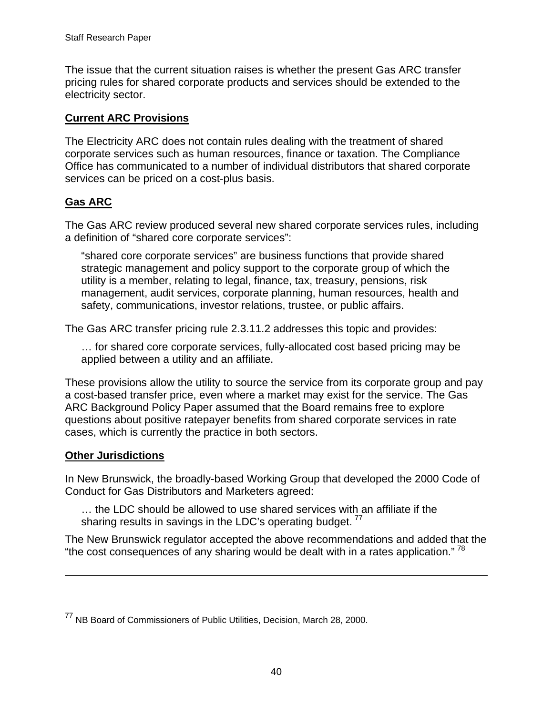The issue that the current situation raises is whether the present Gas ARC transfer pricing rules for shared corporate products and services should be extended to the electricity sector.

#### **Current ARC Provisions**

The Electricity ARC does not contain rules dealing with the treatment of shared corporate services such as human resources, finance or taxation. The Compliance Office has communicated to a number of individual distributors that shared corporate services can be priced on a cost-plus basis.

### **Gas ARC**

The Gas ARC review produced several new shared corporate services rules, including a definition of "shared core corporate services":

"shared core corporate services" are business functions that provide shared strategic management and policy support to the corporate group of which the utility is a member, relating to legal, finance, tax, treasury, pensions, risk management, audit services, corporate planning, human resources, health and safety, communications, investor relations, trustee, or public affairs.

The Gas ARC transfer pricing rule 2.3.11.2 addresses this topic and provides:

… for shared core corporate services, fully-allocated cost based pricing may be applied between a utility and an affiliate.

These provisions allow the utility to source the service from its corporate group and pay a cost-based transfer price, even where a market may exist for the service. The Gas ARC Background Policy Paper assumed that the Board remains free to explore questions about positive ratepayer benefits from shared corporate services in rate cases, which is currently the practice in both sectors.

### **Other Jurisdictions**

 $\overline{a}$ 

In New Brunswick, the broadly-based Working Group that developed the 2000 Code of Conduct for Gas Distributors and Marketers agreed:

… the LDC should be allowed to use shared services with an affiliate if the sharing results in savings in the LDC's operating budget.  $77$ 

<span id="page-43-1"></span>The New Brunswick regulator accepted the above recommendations and added that the "the cost consequences of any sharing would be dealt with in a rates application."  $78$ 

<span id="page-43-0"></span><sup>77</sup> NB Board of Commissioners of Public Utilities, Decision, March 28, 2000.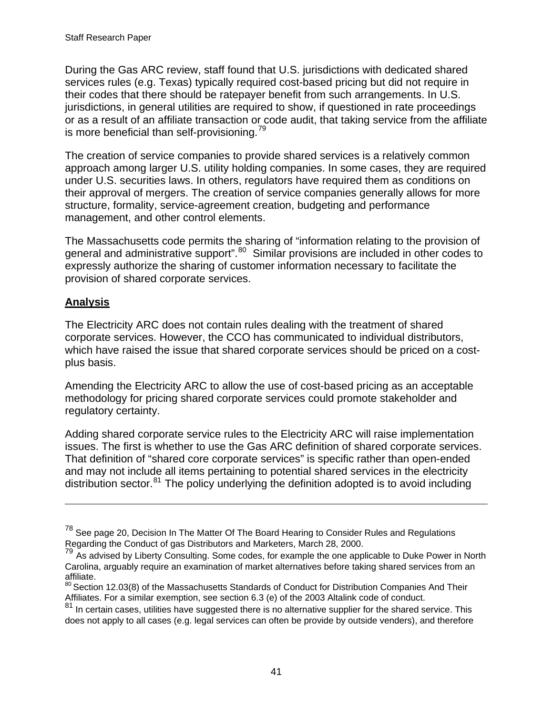During the Gas ARC review, staff found that U.S. jurisdictions with dedicated shared services rules (e.g. Texas) typically required cost-based pricing but did not require in their codes that there should be ratepayer benefit from such arrangements. In U.S. jurisdictions, in general utilities are required to show, if questioned in rate proceedings or as a result of an affiliate transaction or code audit, that taking service from the affiliate is more beneficial than self-provisioning.<sup>[79](#page-44-0)</sup>

The creation of service companies to provide shared services is a relatively common approach among larger U.S. utility holding companies. In some cases, they are required under U.S. securities laws. In others, regulators have required them as conditions on their approval of mergers. The creation of service companies generally allows for more structure, formality, service-agreement creation, budgeting and performance management, and other control elements.

The Massachusetts code permits the sharing of "information relating to the provision of general and administrative support".<sup>[80](#page-44-1)</sup> Similar provisions are included in other codes to expressly authorize the sharing of customer information necessary to facilitate the provision of shared corporate services.

# **Analysis**

 $\overline{a}$ 

The Electricity ARC does not contain rules dealing with the treatment of shared corporate services. However, the CCO has communicated to individual distributors, which have raised the issue that shared corporate services should be priced on a costplus basis.

Amending the Electricity ARC to allow the use of cost-based pricing as an acceptable methodology for pricing shared corporate services could promote stakeholder and regulatory certainty.

Adding shared corporate service rules to the Electricity ARC will raise implementation issues. The first is whether to use the Gas ARC definition of shared corporate services. That definition of "shared core corporate services" is specific rather than open-ended and may not include all items pertaining to potential shared services in the electricity distribution sector. $81$  The policy underlying the definition adopted is to avoid including

<sup>&</sup>lt;sup>78</sup> See page 20, Decision In The Matter Of The Board Hearing to Consider Rules and Regulations Regarding the Conduct of gas Distributors and Marketers, March 28, 2000.

<span id="page-44-0"></span><sup>&</sup>lt;sup>79</sup> As advised by Liberty Consulting. Some codes, for example the one applicable to Duke Power in North Carolina, arguably require an examination of market alternatives before taking shared services from an affiliate.

<span id="page-44-1"></span><sup>&</sup>lt;sup>80</sup> Section 12.03(8) of the Massachusetts Standards of Conduct for Distribution Companies And Their Affiliates. For a similar exemption, see section 6.3 (e) of the 2003 Altalink code of conduct.

<span id="page-44-2"></span> $81$  In certain cases, utilities have suggested there is no alternative supplier for the shared service. This does not apply to all cases (e.g. legal services can often be provide by outside venders), and therefore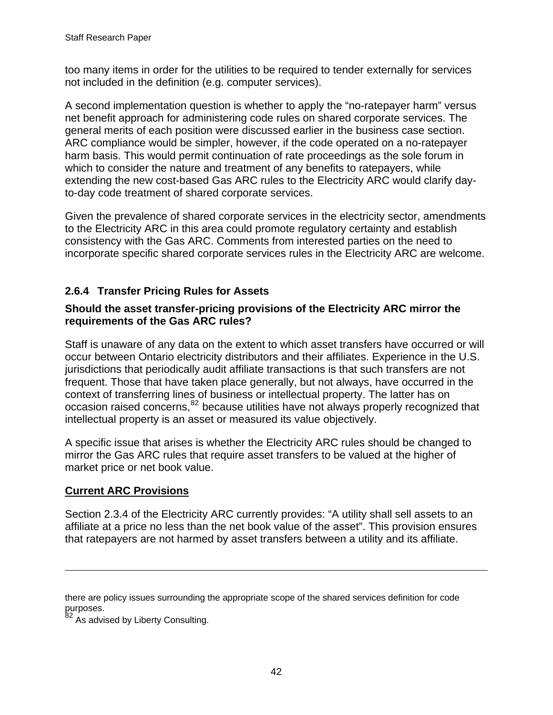<span id="page-45-0"></span>too many items in order for the utilities to be required to tender externally for services not included in the definition (e.g. computer services).

A second implementation question is whether to apply the "no-ratepayer harm" versus net benefit approach for administering code rules on shared corporate services. The general merits of each position were discussed earlier in the business case section. ARC compliance would be simpler, however, if the code operated on a no-ratepayer harm basis. This would permit continuation of rate proceedings as the sole forum in which to consider the nature and treatment of any benefits to ratepayers, while extending the new cost-based Gas ARC rules to the Electricity ARC would clarify dayto-day code treatment of shared corporate services.

Given the prevalence of shared corporate services in the electricity sector, amendments to the Electricity ARC in this area could promote regulatory certainty and establish consistency with the Gas ARC. Comments from interested parties on the need to incorporate specific shared corporate services rules in the Electricity ARC are welcome.

# **2.6.4 Transfer Pricing Rules for Assets**

#### **Should the asset transfer-pricing provisions of the Electricity ARC mirror the requirements of the Gas ARC rules?**

Staff is unaware of any data on the extent to which asset transfers have occurred or will occur between Ontario electricity distributors and their affiliates. Experience in the U.S. jurisdictions that periodically audit affiliate transactions is that such transfers are not frequent. Those that have taken place generally, but not always, have occurred in the context of transferring lines of business or intellectual property. The latter has on occasion raised concerns,<sup>[82](#page-45-1)</sup> because utilities have not always properly recognized that intellectual property is an asset or measured its value objectively.

A specific issue that arises is whether the Electricity ARC rules should be changed to mirror the Gas ARC rules that require asset transfers to be valued at the higher of market price or net book value.

# **Current ARC Provisions**

 $\overline{a}$ 

Section 2.3.4 of the Electricity ARC currently provides: "A utility shall sell assets to an affiliate at a price no less than the net book value of the asset". This provision ensures that ratepayers are not harmed by asset transfers between a utility and its affiliate.

there are policy issues surrounding the appropriate scope of the shared services definition for code purposes.

<span id="page-45-1"></span><sup>&</sup>lt;sup>82</sup> As advised by Liberty Consulting.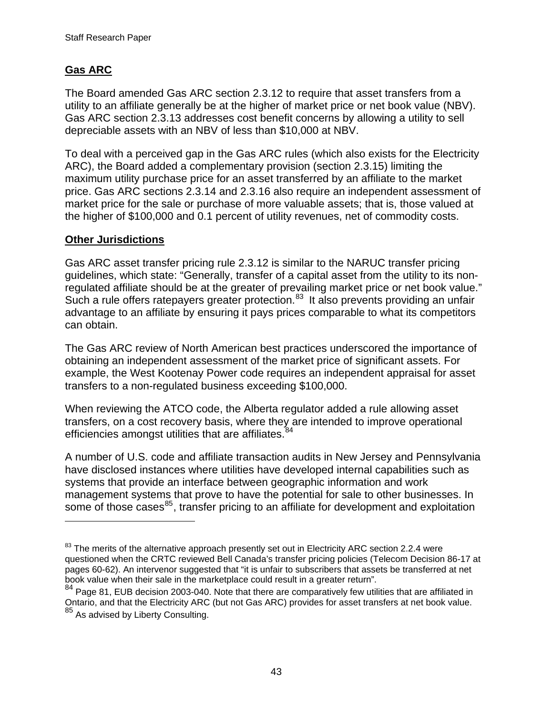# **Gas ARC**

The Board amended Gas ARC section 2.3.12 to require that asset transfers from a utility to an affiliate generally be at the higher of market price or net book value (NBV). Gas ARC section 2.3.13 addresses cost benefit concerns by allowing a utility to sell depreciable assets with an NBV of less than \$10,000 at NBV.

To deal with a perceived gap in the Gas ARC rules (which also exists for the Electricity ARC), the Board added a complementary provision (section 2.3.15) limiting the maximum utility purchase price for an asset transferred by an affiliate to the market price. Gas ARC sections 2.3.14 and 2.3.16 also require an independent assessment of market price for the sale or purchase of more valuable assets; that is, those valued at the higher of \$100,000 and 0.1 percent of utility revenues, net of commodity costs.

#### **Other Jurisdictions**

 $\overline{a}$ 

Gas ARC asset transfer pricing rule 2.3.12 is similar to the NARUC transfer pricing guidelines, which state: "Generally, transfer of a capital asset from the utility to its nonregulated affiliate should be at the greater of prevailing market price or net book value." Such a rule offers ratepayers greater protection.<sup>[83](#page-46-0)</sup> It also prevents providing an unfair advantage to an affiliate by ensuring it pays prices comparable to what its competitors can obtain.

The Gas ARC review of North American best practices underscored the importance of obtaining an independent assessment of the market price of significant assets. For example, the West Kootenay Power code requires an independent appraisal for asset transfers to a non-regulated business exceeding \$100,000.

When reviewing the ATCO code, the Alberta regulator added a rule allowing asset transfers, on a cost recovery basis, where they are intended to improve operational efficiencies amongst utilities that are affiliates.<sup>[84](#page-46-1)</sup>

A number of U.S. code and affiliate transaction audits in New Jersey and Pennsylvania have disclosed instances where utilities have developed internal capabilities such as systems that provide an interface between geographic information and work management systems that prove to have the potential for sale to other businesses. In some of those cases<sup>[85](#page-46-2)</sup>, transfer pricing to an affiliate for development and exploitation

<span id="page-46-0"></span><sup>&</sup>lt;sup>83</sup> The merits of the alternative approach presently set out in Electricity ARC section 2.2.4 were questioned when the CRTC reviewed Bell Canada's transfer pricing policies (Telecom Decision 86-17 at pages 60-62). An intervenor suggested that "it is unfair to subscribers that assets be transferred at net book value when their sale in the marketplace could result in a greater return".

<span id="page-46-2"></span><span id="page-46-1"></span> $84$  Page 81, EUB decision 2003-040. Note that there are comparatively few utilities that are affiliated in Ontario, and that the Electricity ARC (but not Gas ARC) provides for asset transfers at net book value. 85 As advised by Liberty Consulting.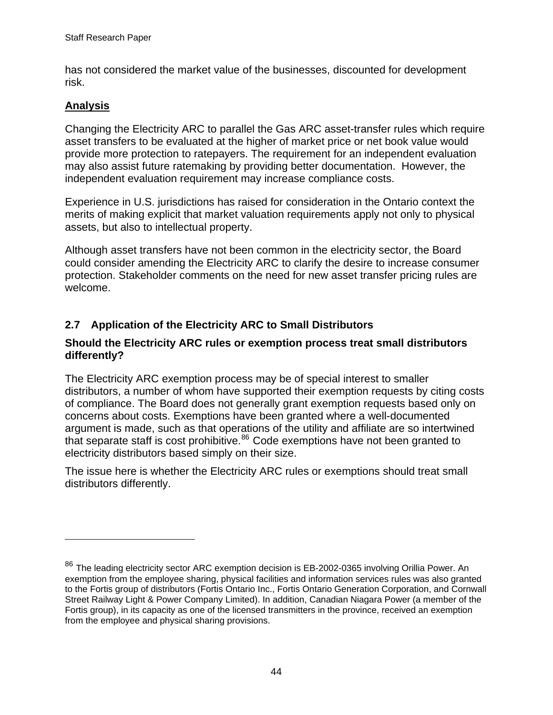<span id="page-47-0"></span>has not considered the market value of the businesses, discounted for development risk.

# **Analysis**

 $\overline{a}$ 

Changing the Electricity ARC to parallel the Gas ARC asset-transfer rules which require asset transfers to be evaluated at the higher of market price or net book value would provide more protection to ratepayers. The requirement for an independent evaluation may also assist future ratemaking by providing better documentation. However, the independent evaluation requirement may increase compliance costs.

Experience in U.S. jurisdictions has raised for consideration in the Ontario context the merits of making explicit that market valuation requirements apply not only to physical assets, but also to intellectual property.

Although asset transfers have not been common in the electricity sector, the Board could consider amending the Electricity ARC to clarify the desire to increase consumer protection. Stakeholder comments on the need for new asset transfer pricing rules are welcome.

# **2.7 Application of the Electricity ARC to Small Distributors**

#### **Should the Electricity ARC rules or exemption process treat small distributors differently?**

The Electricity ARC exemption process may be of special interest to smaller distributors, a number of whom have supported their exemption requests by citing costs of compliance. The Board does not generally grant exemption requests based only on concerns about costs. Exemptions have been granted where a well-documented argument is made, such as that operations of the utility and affiliate are so intertwined that separate staff is cost prohibitive. $86$  Code exemptions have not been granted to electricity distributors based simply on their size.

The issue here is whether the Electricity ARC rules or exemptions should treat small distributors differently.

<span id="page-47-1"></span> $86$  The leading electricity sector ARC exemption decision is EB-2002-0365 involving Orillia Power. An exemption from the employee sharing, physical facilities and information services rules was also granted to the Fortis group of distributors (Fortis Ontario Inc., Fortis Ontario Generation Corporation, and Cornwall Street Railway Light & Power Company Limited). In addition, Canadian Niagara Power (a member of the Fortis group), in its capacity as one of the licensed transmitters in the province, received an exemption from the employee and physical sharing provisions.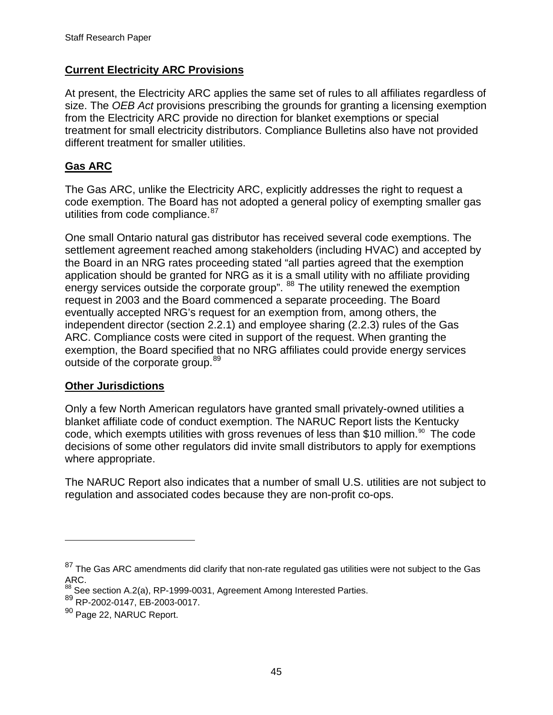#### **Current Electricity ARC Provisions**

At present, the Electricity ARC applies the same set of rules to all affiliates regardless of size. The *OEB Act* provisions prescribing the grounds for granting a licensing exemption from the Electricity ARC provide no direction for blanket exemptions or special treatment for small electricity distributors. Compliance Bulletins also have not provided different treatment for smaller utilities.

### **Gas ARC**

The Gas ARC, unlike the Electricity ARC, explicitly addresses the right to request a code exemption. The Board has not adopted a general policy of exempting smaller gas utilities from code compliance.<sup>[87](#page-48-0)</sup>

One small Ontario natural gas distributor has received several code exemptions. The settlement agreement reached among stakeholders (including HVAC) and accepted by the Board in an NRG rates proceeding stated "all parties agreed that the exemption application should be granted for NRG as it is a small utility with no affiliate providing energy services outside the corporate group". [88](#page-48-1) The utility renewed the exemption request in 2003 and the Board commenced a separate proceeding. The Board eventually accepted NRG's request for an exemption from, among others, the independent director (section 2.2.1) and employee sharing (2.2.3) rules of the Gas ARC. Compliance costs were cited in support of the request. When granting the exemption, the Board specified that no NRG affiliates could provide energy services outside of the corporate group.<sup>[89](#page-48-2)</sup>

#### **Other Jurisdictions**

Only a few North American regulators have granted small privately-owned utilities a blanket affiliate code of conduct exemption. The NARUC Report lists the Kentucky code, which exempts utilities with gross revenues of less than \$10 million.<sup>[90](#page-48-3)</sup> The code decisions of some other regulators did invite small distributors to apply for exemptions where appropriate.

The NARUC Report also indicates that a number of small U.S. utilities are not subject to regulation and associated codes because they are non-profit co-ops.

 $\overline{a}$ 

<span id="page-48-0"></span><sup>&</sup>lt;sup>87</sup> The Gas ARC amendments did clarify that non-rate regulated gas utilities were not subject to the Gas ARC.

<sup>&</sup>lt;sup>88</sup> See section A.2(a), RP-1999-0031, Agreement Among Interested Parties.<br><sup>89</sup> RP-2002-0147, EB-2003-0017.

<span id="page-48-3"></span><span id="page-48-2"></span><span id="page-48-1"></span><sup>89</sup> RP-2002-0147, EB-2003-0017.<br><sup>90</sup> Page 22, NARUC Report.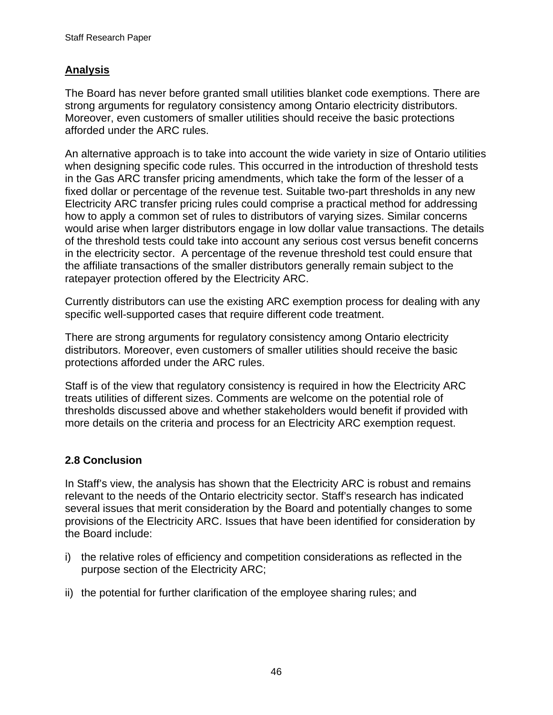### <span id="page-49-0"></span>**Analysis**

The Board has never before granted small utilities blanket code exemptions. There are strong arguments for regulatory consistency among Ontario electricity distributors. Moreover, even customers of smaller utilities should receive the basic protections afforded under the ARC rules.

An alternative approach is to take into account the wide variety in size of Ontario utilities when designing specific code rules. This occurred in the introduction of threshold tests in the Gas ARC transfer pricing amendments, which take the form of the lesser of a fixed dollar or percentage of the revenue test. Suitable two-part thresholds in any new Electricity ARC transfer pricing rules could comprise a practical method for addressing how to apply a common set of rules to distributors of varying sizes. Similar concerns would arise when larger distributors engage in low dollar value transactions. The details of the threshold tests could take into account any serious cost versus benefit concerns in the electricity sector. A percentage of the revenue threshold test could ensure that the affiliate transactions of the smaller distributors generally remain subject to the ratepayer protection offered by the Electricity ARC.

Currently distributors can use the existing ARC exemption process for dealing with any specific well-supported cases that require different code treatment.

There are strong arguments for regulatory consistency among Ontario electricity distributors. Moreover, even customers of smaller utilities should receive the basic protections afforded under the ARC rules.

Staff is of the view that regulatory consistency is required in how the Electricity ARC treats utilities of different sizes. Comments are welcome on the potential role of thresholds discussed above and whether stakeholders would benefit if provided with more details on the criteria and process for an Electricity ARC exemption request.

#### **2.8 Conclusion**

In Staff's view, the analysis has shown that the Electricity ARC is robust and remains relevant to the needs of the Ontario electricity sector. Staff's research has indicated several issues that merit consideration by the Board and potentially changes to some provisions of the Electricity ARC. Issues that have been identified for consideration by the Board include:

- i) the relative roles of efficiency and competition considerations as reflected in the purpose section of the Electricity ARC;
- ii) the potential for further clarification of the employee sharing rules; and